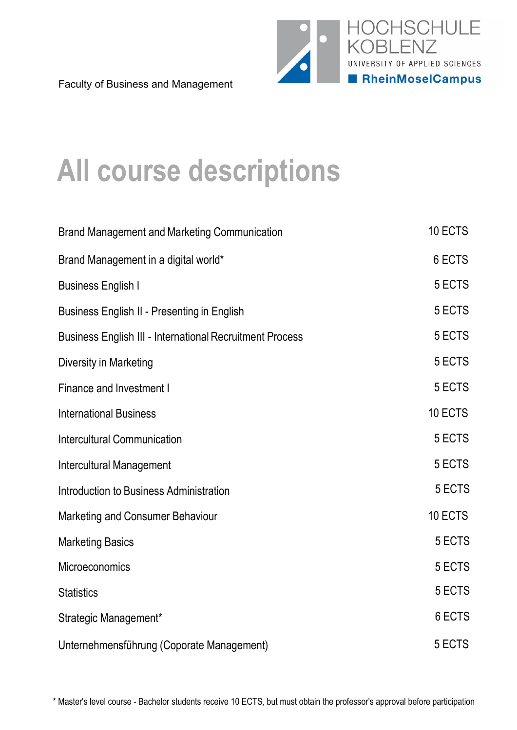

Faculty of Business and Management

# **All course descriptions**

| <b>Brand Management and Marketing Communication</b>             | 10 ECTS |
|-----------------------------------------------------------------|---------|
| Brand Management in a digital world*                            | 6 ECTS  |
| <b>Business English I</b>                                       | 5 ECTS  |
| Business English II - Presenting in English                     | 5 ECTS  |
| <b>Business English III - International Recruitment Process</b> | 5 ECTS  |
| Diversity in Marketing                                          | 5 ECTS  |
| <b>Finance and Investment I</b>                                 | 5 ECTS  |
| <b>International Business</b>                                   | 10 ECTS |
| <b>Intercultural Communication</b>                              | 5 ECTS  |
| <b>Intercultural Management</b>                                 | 5 ECTS  |
| Introduction to Business Administration                         | 5 ECTS  |
| Marketing and Consumer Behaviour                                | 10 ECTS |
| <b>Marketing Basics</b>                                         | 5 ECTS  |
| Microeconomics                                                  | 5 ECTS  |
| <b>Statistics</b>                                               | 5 ECTS  |
| Strategic Management*                                           | 6 ECTS  |
| Unternehmensführung (Coporate Management)                       | 5 ECTS  |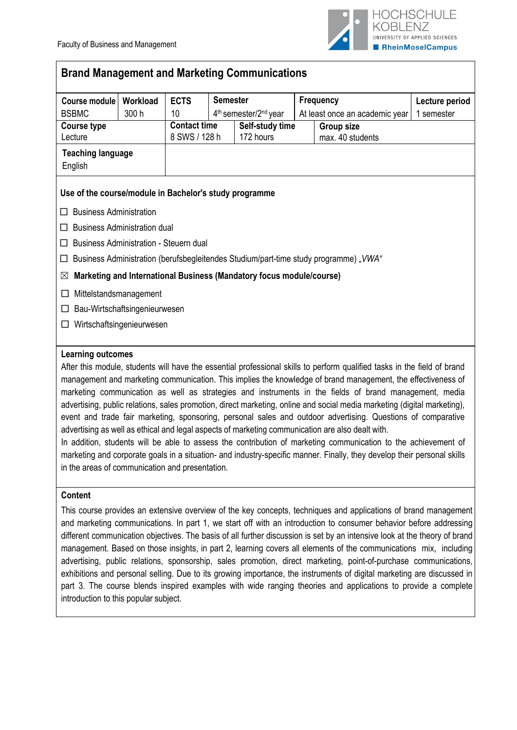

# **Brand Management and Marketing Communications**

| Course module                                          | Workload                            | <b>ECTS</b>         | <b>Semester</b> |                                                                      |  | <b>Frequency</b>                                                                                                                                                                                                   | Lecture period |
|--------------------------------------------------------|-------------------------------------|---------------------|-----------------|----------------------------------------------------------------------|--|--------------------------------------------------------------------------------------------------------------------------------------------------------------------------------------------------------------------|----------------|
| <b>BSBMC</b>                                           | 300 h                               | 10                  |                 | 4 <sup>th</sup> semester/2 <sup>nd</sup> year                        |  | At least once an academic year                                                                                                                                                                                     | 1 semester     |
| <b>Course type</b>                                     |                                     | <b>Contact time</b> |                 | Self-study time                                                      |  | <b>Group size</b>                                                                                                                                                                                                  |                |
| Lecture                                                |                                     | 8 SWS / 128 h       |                 | 172 hours                                                            |  | max. 40 students                                                                                                                                                                                                   |                |
| <b>Teaching language</b>                               |                                     |                     |                 |                                                                      |  |                                                                                                                                                                                                                    |                |
| English                                                |                                     |                     |                 |                                                                      |  |                                                                                                                                                                                                                    |                |
| Use of the course/module in Bachelor's study programme |                                     |                     |                 |                                                                      |  |                                                                                                                                                                                                                    |                |
| <b>Business Administration</b><br>□                    |                                     |                     |                 |                                                                      |  |                                                                                                                                                                                                                    |                |
| □                                                      | <b>Business Administration dual</b> |                     |                 |                                                                      |  |                                                                                                                                                                                                                    |                |
| <b>Business Administration - Steuern dual</b><br>□     |                                     |                     |                 |                                                                      |  |                                                                                                                                                                                                                    |                |
| □                                                      |                                     |                     |                 |                                                                      |  | Business Administration (berufsbegleitendes Studium/part-time study programme), VWA"                                                                                                                               |                |
| $\boxtimes$                                            |                                     |                     |                 | Marketing and International Business (Mandatory focus module/course) |  |                                                                                                                                                                                                                    |                |
| ப                                                      | Mittelstandsmanagement              |                     |                 |                                                                      |  |                                                                                                                                                                                                                    |                |
| ப                                                      | Bau-Wirtschaftsingenieurwesen       |                     |                 |                                                                      |  |                                                                                                                                                                                                                    |                |
| □                                                      | Wirtschaftsingenieurwesen           |                     |                 |                                                                      |  |                                                                                                                                                                                                                    |                |
|                                                        |                                     |                     |                 |                                                                      |  |                                                                                                                                                                                                                    |                |
| <b>Learning outcomes</b>                               |                                     |                     |                 |                                                                      |  |                                                                                                                                                                                                                    |                |
|                                                        |                                     |                     |                 |                                                                      |  | After this module, students will have the essential professional skills to perform qualified tasks in the field of brand                                                                                           |                |
|                                                        |                                     |                     |                 |                                                                      |  | management and marketing communication. This implies the knowledge of brand management, the effectiveness of                                                                                                       |                |
|                                                        |                                     |                     |                 |                                                                      |  | marketing communication as well as strategies and instruments in the fields of brand management, media                                                                                                             |                |
|                                                        |                                     |                     |                 |                                                                      |  | advertising, public relations, sales promotion, direct marketing, online and social media marketing (digital marketing),                                                                                           |                |
|                                                        |                                     |                     |                 |                                                                      |  | event and trade fair marketing, sponsoring, personal sales and outdoor advertising. Questions of comparative                                                                                                       |                |
|                                                        |                                     |                     |                 |                                                                      |  | advertising as well as ethical and legal aspects of marketing communication are also dealt with.<br>In addition, students will be able to assess the contribution of marketing communication to the achievement of |                |

In addition, students will be able to assess the contribution of marketing communication to the achievement of marketing and corporate goals in a situation- and industry-specific manner. Finally, they develop their personal skills in the areas of communication and presentation.

## **Content**

This course provides an extensive overview of the key concepts, techniques and applications of brand management and marketing communications. In part 1, we start off with an introduction to consumer behavior before addressing different communication objectives. The basis of all further discussion is set by an intensive look at the theory of brand management. Based on those insights, in part 2, learning covers all elements of the communications mix, including advertising, public relations, sponsorship, sales promotion, direct marketing, point-of-purchase communications, exhibitions and personal selling. Due to its growing importance, the instruments of digital marketing are discussed in part 3. The course blends inspired examples with wide ranging theories and applications to provide a complete introduction to this popular subject.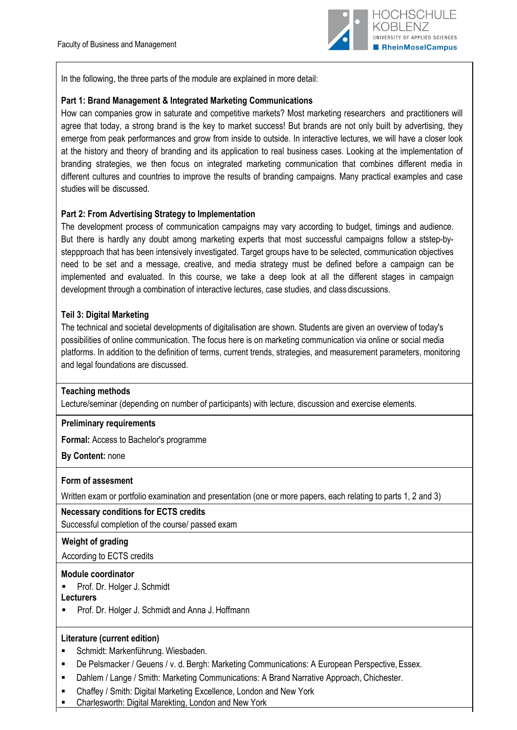

In the following, the three parts of the module are explained in more detail:

## **Part 1: Brand Management & Integrated Marketing Communications**

How can companies grow in saturate and competitive markets? Most marketing researchers and practitioners will agree that today, a strong brand is the key to market success! But brands are not only built by advertising, they emerge from peak performances and grow from inside to outside. In interactive lectures, we will have a closer look at the history and theory of branding and its application to real business cases. Looking at the implementation of branding strategies, we then focus on integrated marketing communication that combines different media in different cultures and countries to improve the results of branding campaigns. Many practical examples and case studies will be discussed.

## **Part 2: From Advertising Strategy to Implementation**

The development process of communication campaigns may vary according to budget, timings and audience. But there is hardly any doubt among marketing experts that most successful campaigns follow a ststep-bysteppproach that has been intensively investigated. Target groups have to be selected, communication objectives need to be set and a message, creative, and media strategy must be defined before a campaign can be implemented and evaluated. In this course, we take a deep look at all the different stages in campaign development through a combination of interactive lectures, case studies, and class discussions.

## **Teil 3: Digital Marketing**

The technical and societal developments of digitalisation are shown. Students are given an overview of today's possibilities of online communication. The focus here is on marketing communication via online or social media platforms. In addition to the definition of terms, current trends, strategies, and measurement parameters, monitoring and legal foundations are discussed.

## **Teaching methods**

Lecture/seminar (depending on number of participants) with lecture, discussion and exercise elements.

## **Preliminary requirements**

**Formal:** Access to Bachelor's programme

**By Content:** none

## **Form of assesment**

Written exam or portfolio examination and presentation (one or more papers, each relating to parts 1, 2 and 3)

## **Necessary conditions for ECTS credits**

Successful completion of the course/ passed exam

## **Weight of grading**

According to ECTS credits

#### **Module coordinator**

**Prof. Dr. Holger J. Schmidt** 

**Lecturers**

**Prof. Dr. Holger J. Schmidt and Anna J. Hoffmann** 

## **Literature (current edition)**

- Schmidt: Markenführung. Wiesbaden.
- De Pelsmacker / Geuens / v. d. Bergh: Marketing Communications: A European Perspective, Essex.
- Dahlem / Lange / Smith: Marketing Communications: A Brand Narrative Approach, Chichester.
- Chaffey / Smith: Digital Marketing Excellence, London and New York
- Charlesworth: Digital Marekting, London and New York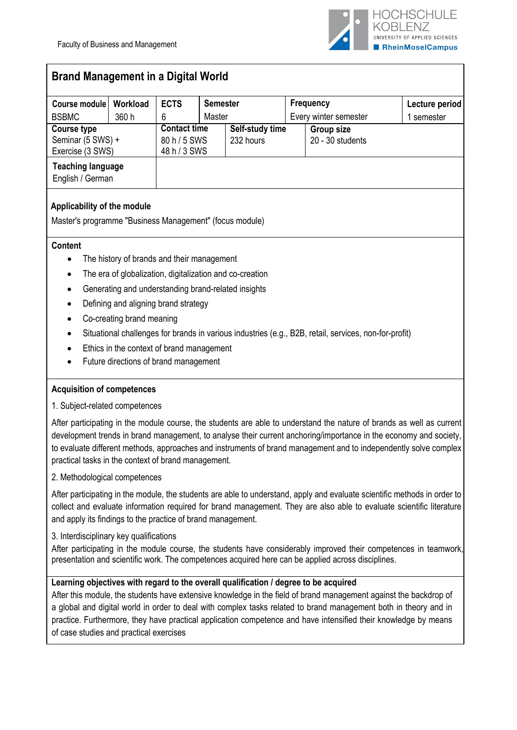

# **Brand Management in a Digital World**

| Course module                                | Workload | <b>ECTS</b>         | <b>Semester</b> |                 |                       | Frequency          | Lecture period |
|----------------------------------------------|----------|---------------------|-----------------|-----------------|-----------------------|--------------------|----------------|
| <b>BSBMC</b>                                 | 360 h    | 6                   | Master          |                 | Every winter semester |                    | semester       |
| Course type                                  |          | <b>Contact time</b> |                 | Self-study time |                       | <b>Group size</b>  |                |
| Seminar (5 SWS) +                            |          | 80 h / 5 SWS        |                 | 232 hours       |                       | $20 - 30$ students |                |
| Exercise (3 SWS)                             |          | 48 h / 3 SWS        |                 |                 |                       |                    |                |
| <b>Teaching language</b><br>English / German |          |                     |                 |                 |                       |                    |                |

## **Applicability of the module**

Master's programme "Business Management" (focus module)

#### **Content**

- The history of brands and their management
- The era of globalization, digitalization and co-creation
- Generating and understanding brand-related insights
- Defining and aligning brand strategy
- Co-creating brand meaning
- Situational challenges for brands in various industries (e.g., B2B, retail, services, non-for-profit)
- Ethics in the context of brand management
- Future directions of brand management

## **Acquisition of competences**

1. Subject-related competences

After participating in the module course, the students are able to understand the nature of brands as well as current development trends in brand management, to analyse their current anchoring/importance in the economy and society, to evaluate different methods, approaches and instruments of brand management and to independently solve complex practical tasks in the context of brand management.

2. Methodological competences

After participating in the module, the students are able to understand, apply and evaluate scientific methods in order to collect and evaluate information required for brand management. They are also able to evaluate scientific literature and apply its findings to the practice of brand management.

#### 3. Interdisciplinary key qualifications

After participating in the module course, the students have considerably improved their competences in teamwork, presentation and scientific work. The competences acquired here can be applied across disciplines.

## **Learning objectives with regard to the overall qualification / degree to be acquired**

After this module, the students have extensive knowledge in the field of brand management against the backdrop of a global and digital world in order to deal with complex tasks related to brand management both in theory and in practice. Furthermore, they have practical application competence and have intensified their knowledge by means of case studies and practical exercises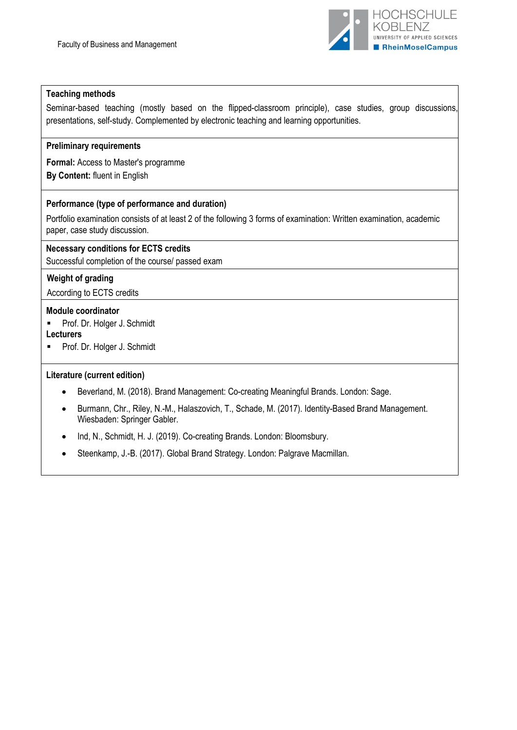

#### **Teaching methods**

Seminar-based teaching (mostly based on the flipped-classroom principle), case studies, group discussions, presentations, self-study. Complemented by electronic teaching and learning opportunities.

## **Preliminary requirements**

**Formal:** Access to Master's programme **By Content:** fluent in English

## **Performance (type of performance and duration)**

Portfolio examination consists of at least 2 of the following 3 forms of examination: Written examination, academic paper, case study discussion.

#### **Necessary conditions for ECTS credits**

Successful completion of the course/ passed exam

#### **Weight of grading**

According to ECTS credits

#### **Module coordinator**

- **Prof. Dr. Holger J. Schmidt**
- **Lecturers**
- Prof. Dr. Holger J. Schmidt

#### **Literature (current edition)**

- Beverland, M. (2018). Brand Management: Co-creating Meaningful Brands. London: Sage.
- Burmann, Chr., Riley, N.-M., Halaszovich, T., Schade, M. (2017). Identity-Based Brand Management. Wiesbaden: Springer Gabler.
- Ind, N., Schmidt, H. J. (2019). Co-creating Brands. London: Bloomsbury.
- Steenkamp, J.-B. (2017). Global Brand Strategy. London: Palgrave Macmillan.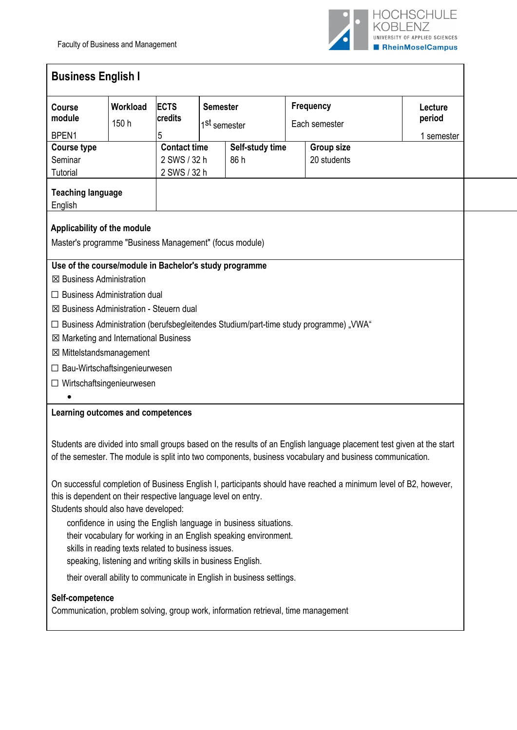

| <b>Course</b><br>module                                                                                | Workload<br>150 h                                           | <b>ECTS</b><br>credits | <b>Semester</b><br>1 <sup>st</sup> semester |                                                                       | <b>Frequency</b><br>Each semester |                                                                                                                  | Lecture<br>period                                                                                                    |
|--------------------------------------------------------------------------------------------------------|-------------------------------------------------------------|------------------------|---------------------------------------------|-----------------------------------------------------------------------|-----------------------------------|------------------------------------------------------------------------------------------------------------------|----------------------------------------------------------------------------------------------------------------------|
| BPEN1                                                                                                  |                                                             | 5                      |                                             |                                                                       |                                   |                                                                                                                  | 1 semester                                                                                                           |
| <b>Course type</b>                                                                                     |                                                             | <b>Contact time</b>    |                                             | Self-study time                                                       |                                   | <b>Group size</b>                                                                                                |                                                                                                                      |
| Seminar                                                                                                |                                                             | 2 SWS / 32 h           |                                             | 86 h                                                                  |                                   | 20 students                                                                                                      |                                                                                                                      |
| <b>Tutorial</b>                                                                                        |                                                             | 2 SWS / 32 h           |                                             |                                                                       |                                   |                                                                                                                  |                                                                                                                      |
| <b>Teaching language</b><br>English                                                                    |                                                             |                        |                                             |                                                                       |                                   |                                                                                                                  |                                                                                                                      |
| Applicability of the module                                                                            |                                                             |                        |                                             |                                                                       |                                   |                                                                                                                  |                                                                                                                      |
| Master's programme "Business Management" (focus module)                                                |                                                             |                        |                                             |                                                                       |                                   |                                                                                                                  |                                                                                                                      |
| Use of the course/module in Bachelor's study programme                                                 |                                                             |                        |                                             |                                                                       |                                   |                                                                                                                  |                                                                                                                      |
| <b>⊠ Business Administration</b>                                                                       |                                                             |                        |                                             |                                                                       |                                   |                                                                                                                  |                                                                                                                      |
| $\Box$ Business Administration dual                                                                    |                                                             |                        |                                             |                                                                       |                                   |                                                                                                                  |                                                                                                                      |
| $\boxtimes$ Business Administration - Steuern dual                                                     |                                                             |                        |                                             |                                                                       |                                   |                                                                                                                  |                                                                                                                      |
|                                                                                                        |                                                             |                        |                                             |                                                                       |                                   | □ Business Administration (berufsbegleitendes Studium/part-time study programme) "VWA"                           |                                                                                                                      |
| ⊠ Marketing and International Business                                                                 |                                                             |                        |                                             |                                                                       |                                   |                                                                                                                  |                                                                                                                      |
| ⊠ Mittelstandsmanagement                                                                               |                                                             |                        |                                             |                                                                       |                                   |                                                                                                                  |                                                                                                                      |
| $\Box$ Bau-Wirtschaftsingenieurwesen                                                                   |                                                             |                        |                                             |                                                                       |                                   |                                                                                                                  |                                                                                                                      |
|                                                                                                        | Wirtschaftsingenieurwesen                                   |                        |                                             |                                                                       |                                   |                                                                                                                  |                                                                                                                      |
|                                                                                                        |                                                             |                        |                                             |                                                                       |                                   |                                                                                                                  |                                                                                                                      |
| Learning outcomes and competences                                                                      |                                                             |                        |                                             |                                                                       |                                   |                                                                                                                  |                                                                                                                      |
|                                                                                                        |                                                             |                        |                                             |                                                                       |                                   |                                                                                                                  |                                                                                                                      |
|                                                                                                        |                                                             |                        |                                             |                                                                       |                                   |                                                                                                                  | Students are divided into small groups based on the results of an English language placement test given at the start |
|                                                                                                        |                                                             |                        |                                             |                                                                       |                                   | of the semester. The module is split into two components, business vocabulary and business communication.        |                                                                                                                      |
|                                                                                                        |                                                             |                        |                                             |                                                                       |                                   |                                                                                                                  |                                                                                                                      |
|                                                                                                        |                                                             |                        |                                             |                                                                       |                                   | On successful completion of Business English I, participants should have reached a minimum level of B2, however, |                                                                                                                      |
| this is dependent on their respective language level on entry.<br>Students should also have developed: |                                                             |                        |                                             |                                                                       |                                   |                                                                                                                  |                                                                                                                      |
|                                                                                                        |                                                             |                        |                                             | confidence in using the English language in business situations.      |                                   |                                                                                                                  |                                                                                                                      |
|                                                                                                        |                                                             |                        |                                             | their vocabulary for working in an English speaking environment.      |                                   |                                                                                                                  |                                                                                                                      |
|                                                                                                        | skills in reading texts related to business issues.         |                        |                                             |                                                                       |                                   |                                                                                                                  |                                                                                                                      |
|                                                                                                        | speaking, listening and writing skills in business English. |                        |                                             |                                                                       |                                   |                                                                                                                  |                                                                                                                      |
|                                                                                                        |                                                             |                        |                                             | their overall ability to communicate in English in business settings. |                                   |                                                                                                                  |                                                                                                                      |
|                                                                                                        |                                                             |                        |                                             |                                                                       |                                   |                                                                                                                  |                                                                                                                      |
| Self-competence                                                                                        |                                                             |                        |                                             |                                                                       |                                   |                                                                                                                  |                                                                                                                      |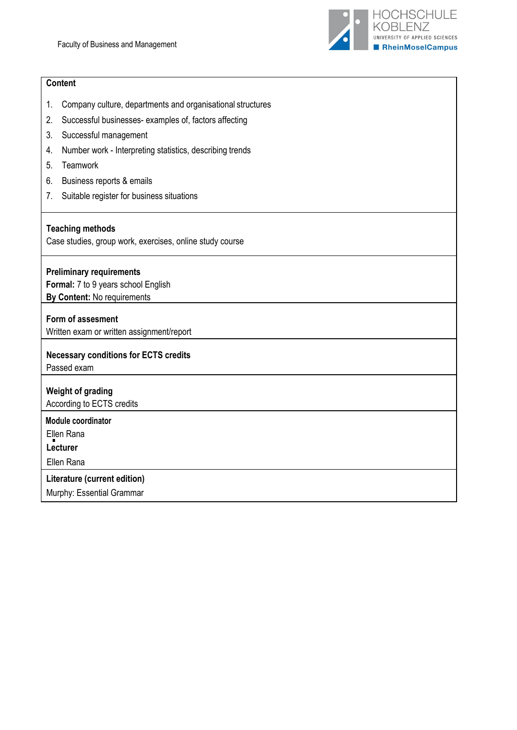

## **Content**

- 1. Company culture, departments and organisational structures
- 2. Successful businesses- examples of, factors affecting
- 3. Successful management
- 4. Number work Interpreting statistics, describing trends
- 5. Teamwork
- 6. Business reports & emails
- 7. Suitable register for business situations

## **Teaching methods**

Case studies, group work, exercises, online study course

## **Preliminary requirements**

**Formal:** 7 to 9 years school English **By Content:** No requirements

## **Form of assesment**

Written exam or written assignment/report

## **Necessary conditions for ECTS credits**

Passed exam

**Weight of grading** According to ECTS credits

**Module coordinator** 

Ellen Rana **Lecturer**

Ellen Rana

## **Literature (current edition)**

Murphy: Essential Grammar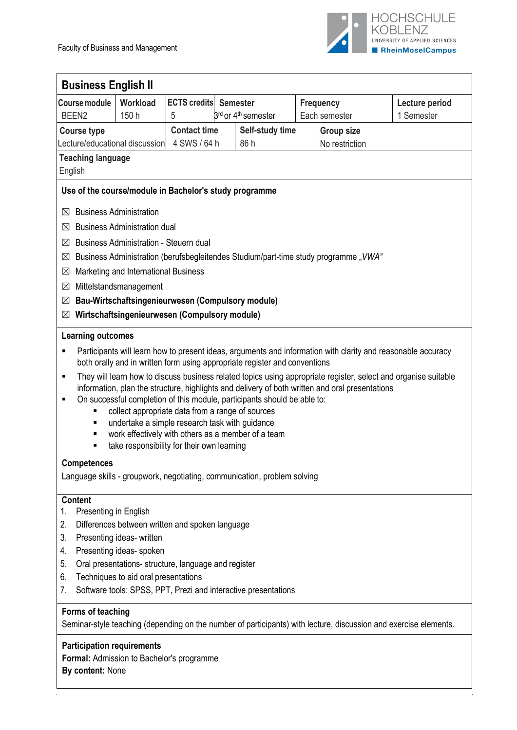

| <b>Business English II</b>                             |                                               |                                                      |                                                                                                 |                   |                                                                                                                  |
|--------------------------------------------------------|-----------------------------------------------|------------------------------------------------------|-------------------------------------------------------------------------------------------------|-------------------|------------------------------------------------------------------------------------------------------------------|
| <b>Course module</b>                                   | Workload                                      | <b>ECTS credits</b>                                  | <b>Semester</b>                                                                                 | <b>Frequency</b>  | Lecture period                                                                                                   |
| BEEN <sub>2</sub>                                      | 150 h                                         | 5                                                    | 3 <sup>rd</sup> or 4 <sup>th</sup> semester                                                     | Each semester     | 1 Semester                                                                                                       |
| <b>Course type</b>                                     |                                               | <b>Contact time</b>                                  | Self-study time                                                                                 | <b>Group size</b> |                                                                                                                  |
| Lecture/educational discussion                         |                                               | 4 SWS / 64 h                                         | 86 h                                                                                            | No restriction    |                                                                                                                  |
| <b>Teaching language</b><br>English                    |                                               |                                                      |                                                                                                 |                   |                                                                                                                  |
|                                                        |                                               |                                                      |                                                                                                 |                   |                                                                                                                  |
| Use of the course/module in Bachelor's study programme |                                               |                                                      |                                                                                                 |                   |                                                                                                                  |
| $\bowtie$                                              | <b>Business Administration</b>                |                                                      |                                                                                                 |                   |                                                                                                                  |
| ⊠                                                      | <b>Business Administration dual</b>           |                                                      |                                                                                                 |                   |                                                                                                                  |
| $\bowtie$                                              | <b>Business Administration - Steuern dual</b> |                                                      |                                                                                                 |                   |                                                                                                                  |
| $\boxtimes$                                            |                                               |                                                      | Business Administration (berufsbegleitendes Studium/part-time study programme "VWA"             |                   |                                                                                                                  |
| $\boxtimes$                                            | Marketing and International Business          |                                                      |                                                                                                 |                   |                                                                                                                  |
| $\boxtimes$                                            | Mittelstandsmanagement                        |                                                      |                                                                                                 |                   |                                                                                                                  |
| $\boxtimes$                                            |                                               | Bau-Wirtschaftsingenieurwesen (Compulsory module)    |                                                                                                 |                   |                                                                                                                  |
| $\boxtimes$                                            |                                               | Wirtschaftsingenieurwesen (Compulsory module)        |                                                                                                 |                   |                                                                                                                  |
| <b>Learning outcomes</b>                               |                                               |                                                      |                                                                                                 |                   |                                                                                                                  |
| п                                                      |                                               |                                                      |                                                                                                 |                   | Participants will learn how to present ideas, arguments and information with clarity and reasonable accuracy     |
|                                                        |                                               |                                                      | both orally and in written form using appropriate register and conventions                      |                   |                                                                                                                  |
| П                                                      |                                               |                                                      |                                                                                                 |                   | They will learn how to discuss business related topics using appropriate register, select and organise suitable  |
|                                                        |                                               |                                                      | information, plan the structure, highlights and delivery of both written and oral presentations |                   |                                                                                                                  |
| Е                                                      |                                               | collect appropriate data from a range of sources     | On successful completion of this module, participants should be able to:                        |                   |                                                                                                                  |
| ٠                                                      |                                               | undertake a simple research task with guidance       |                                                                                                 |                   |                                                                                                                  |
| ٠                                                      |                                               |                                                      | work effectively with others as a member of a team                                              |                   |                                                                                                                  |
| ٠                                                      |                                               | take responsibility for their own learning           |                                                                                                 |                   |                                                                                                                  |
| <b>Competences</b>                                     |                                               |                                                      |                                                                                                 |                   |                                                                                                                  |
|                                                        |                                               |                                                      | Language skills - groupwork, negotiating, communication, problem solving                        |                   |                                                                                                                  |
| <b>Content</b>                                         |                                               |                                                      |                                                                                                 |                   |                                                                                                                  |
| Presenting in English<br>1.                            |                                               |                                                      |                                                                                                 |                   |                                                                                                                  |
| 2.                                                     |                                               | Differences between written and spoken language      |                                                                                                 |                   |                                                                                                                  |
| 3.                                                     | Presenting ideas- written                     |                                                      |                                                                                                 |                   |                                                                                                                  |
| 4.                                                     | Presenting ideas- spoken                      |                                                      |                                                                                                 |                   |                                                                                                                  |
| 5.                                                     |                                               | Oral presentations- structure, language and register |                                                                                                 |                   |                                                                                                                  |
| 6.                                                     | Techniques to aid oral presentations          |                                                      |                                                                                                 |                   |                                                                                                                  |
| 7.                                                     |                                               |                                                      | Software tools: SPSS, PPT, Prezi and interactive presentations                                  |                   |                                                                                                                  |
| Forms of teaching                                      |                                               |                                                      |                                                                                                 |                   |                                                                                                                  |
|                                                        |                                               |                                                      |                                                                                                 |                   | Seminar-style teaching (depending on the number of participants) with lecture, discussion and exercise elements. |
| <b>Participation requirements</b>                      |                                               |                                                      |                                                                                                 |                   |                                                                                                                  |
| Formal: Admission to Bachelor's programme              |                                               |                                                      |                                                                                                 |                   |                                                                                                                  |
| By content: None                                       |                                               |                                                      |                                                                                                 |                   |                                                                                                                  |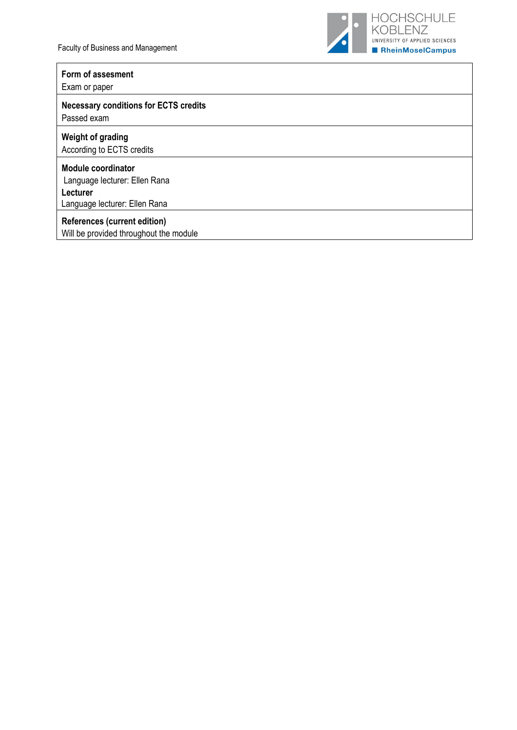

# **Form of assesment**

Exam or paper

## **Necessary conditions for ECTS credits** Passed exam

**Weight of grading** 

According to ECTS credits

#### **Module coordinator**

Language lecturer: Ellen Rana **Lecturer**

Language lecturer: Ellen Rana

## **References (current edition)**

Will be provided throughout the module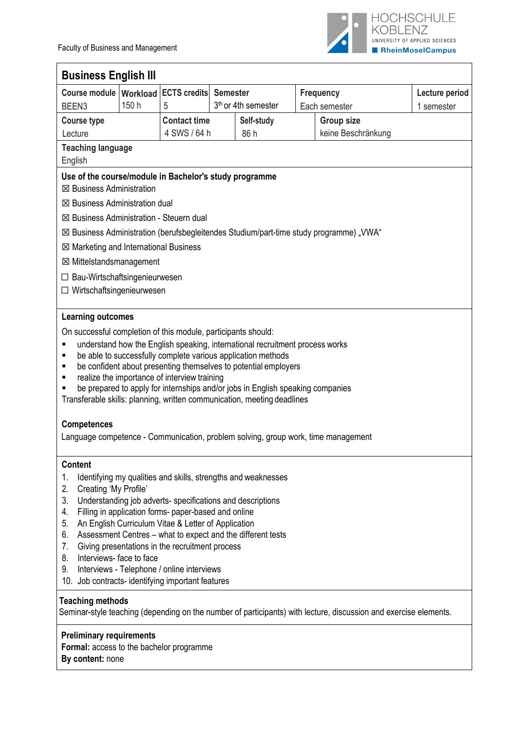

| <b>Business English III</b>                                                                                                                                                                                                                                                                                                                                                                                                                                                                                                                                                                |                                                                                                                                                                                                                                                                                                                                                                                                                                                                                                                                                                                    |                     |  |                                 |  |                                                                                        |            |  |
|--------------------------------------------------------------------------------------------------------------------------------------------------------------------------------------------------------------------------------------------------------------------------------------------------------------------------------------------------------------------------------------------------------------------------------------------------------------------------------------------------------------------------------------------------------------------------------------------|------------------------------------------------------------------------------------------------------------------------------------------------------------------------------------------------------------------------------------------------------------------------------------------------------------------------------------------------------------------------------------------------------------------------------------------------------------------------------------------------------------------------------------------------------------------------------------|---------------------|--|---------------------------------|--|----------------------------------------------------------------------------------------|------------|--|
|                                                                                                                                                                                                                                                                                                                                                                                                                                                                                                                                                                                            | Course module   Workload   ECTS credits  <br><b>Semester</b><br><b>Frequency</b><br>Lecture period                                                                                                                                                                                                                                                                                                                                                                                                                                                                                 |                     |  |                                 |  |                                                                                        |            |  |
| BEEN <sub>3</sub>                                                                                                                                                                                                                                                                                                                                                                                                                                                                                                                                                                          | 150 h                                                                                                                                                                                                                                                                                                                                                                                                                                                                                                                                                                              | 5                   |  | 3 <sup>th</sup> or 4th semester |  | Each semester                                                                          | 1 semester |  |
| <b>Course type</b>                                                                                                                                                                                                                                                                                                                                                                                                                                                                                                                                                                         |                                                                                                                                                                                                                                                                                                                                                                                                                                                                                                                                                                                    | <b>Contact time</b> |  | Self-study                      |  | <b>Group size</b>                                                                      |            |  |
| Lecture                                                                                                                                                                                                                                                                                                                                                                                                                                                                                                                                                                                    |                                                                                                                                                                                                                                                                                                                                                                                                                                                                                                                                                                                    | 4 SWS / 64 h        |  | 86 h                            |  | keine Beschränkung                                                                     |            |  |
| <b>Teaching language</b>                                                                                                                                                                                                                                                                                                                                                                                                                                                                                                                                                                   |                                                                                                                                                                                                                                                                                                                                                                                                                                                                                                                                                                                    |                     |  |                                 |  |                                                                                        |            |  |
| English                                                                                                                                                                                                                                                                                                                                                                                                                                                                                                                                                                                    |                                                                                                                                                                                                                                                                                                                                                                                                                                                                                                                                                                                    |                     |  |                                 |  |                                                                                        |            |  |
|                                                                                                                                                                                                                                                                                                                                                                                                                                                                                                                                                                                            | Use of the course/module in Bachelor's study programme<br><b>⊠ Business Administration</b>                                                                                                                                                                                                                                                                                                                                                                                                                                                                                         |                     |  |                                 |  |                                                                                        |            |  |
| $\boxtimes$ Business Administration dual                                                                                                                                                                                                                                                                                                                                                                                                                                                                                                                                                   |                                                                                                                                                                                                                                                                                                                                                                                                                                                                                                                                                                                    |                     |  |                                 |  |                                                                                        |            |  |
| ⊠ Business Administration - Steuern dual                                                                                                                                                                                                                                                                                                                                                                                                                                                                                                                                                   |                                                                                                                                                                                                                                                                                                                                                                                                                                                                                                                                                                                    |                     |  |                                 |  |                                                                                        |            |  |
|                                                                                                                                                                                                                                                                                                                                                                                                                                                                                                                                                                                            |                                                                                                                                                                                                                                                                                                                                                                                                                                                                                                                                                                                    |                     |  |                                 |  | ■ Business Administration (berufsbegleitendes Studium/part-time study programme) "VWA" |            |  |
| $\boxtimes$ Marketing and International Business                                                                                                                                                                                                                                                                                                                                                                                                                                                                                                                                           |                                                                                                                                                                                                                                                                                                                                                                                                                                                                                                                                                                                    |                     |  |                                 |  |                                                                                        |            |  |
| ⊠ Mittelstandsmanagement                                                                                                                                                                                                                                                                                                                                                                                                                                                                                                                                                                   |                                                                                                                                                                                                                                                                                                                                                                                                                                                                                                                                                                                    |                     |  |                                 |  |                                                                                        |            |  |
| $\Box$ Bau-Wirtschaftsingenieurwesen                                                                                                                                                                                                                                                                                                                                                                                                                                                                                                                                                       |                                                                                                                                                                                                                                                                                                                                                                                                                                                                                                                                                                                    |                     |  |                                 |  |                                                                                        |            |  |
| $\Box$ Wirtschaftsingenieurwesen                                                                                                                                                                                                                                                                                                                                                                                                                                                                                                                                                           |                                                                                                                                                                                                                                                                                                                                                                                                                                                                                                                                                                                    |                     |  |                                 |  |                                                                                        |            |  |
| <b>Learning outcomes</b>                                                                                                                                                                                                                                                                                                                                                                                                                                                                                                                                                                   |                                                                                                                                                                                                                                                                                                                                                                                                                                                                                                                                                                                    |                     |  |                                 |  |                                                                                        |            |  |
| П<br>٠<br>п<br><b>Competences</b>                                                                                                                                                                                                                                                                                                                                                                                                                                                                                                                                                          | On successful completion of this module, participants should:<br>understand how the English speaking, international recruitment process works<br>be able to successfully complete various application methods<br>be confident about presenting themselves to potential employers<br>realize the importance of interview training<br>be prepared to apply for internships and/or jobs in English speaking companies<br>Transferable skills: planning, written communication, meeting deadlines<br>Language competence - Communication, problem solving, group work, time management |                     |  |                                 |  |                                                                                        |            |  |
|                                                                                                                                                                                                                                                                                                                                                                                                                                                                                                                                                                                            |                                                                                                                                                                                                                                                                                                                                                                                                                                                                                                                                                                                    |                     |  |                                 |  |                                                                                        |            |  |
| <b>Content</b><br>1.<br>Identifying my qualities and skills, strengths and weaknesses<br>Creating 'My Profile'<br>2.<br>3.<br>Understanding job adverts- specifications and descriptions<br>Filling in application forms- paper-based and online<br>4.<br>An English Curriculum Vitae & Letter of Application<br>5.<br>Assessment Centres - what to expect and the different tests<br>6.<br>Giving presentations in the recruitment process<br>7.<br>Interviews-face to face<br>8.<br>Interviews - Telephone / online interviews<br>9.<br>10. Job contracts-identifying important features |                                                                                                                                                                                                                                                                                                                                                                                                                                                                                                                                                                                    |                     |  |                                 |  |                                                                                        |            |  |
|                                                                                                                                                                                                                                                                                                                                                                                                                                                                                                                                                                                            | <b>Teaching methods</b><br>Seminar-style teaching (depending on the number of participants) with lecture, discussion and exercise elements.                                                                                                                                                                                                                                                                                                                                                                                                                                        |                     |  |                                 |  |                                                                                        |            |  |
| <b>Preliminary requirements</b><br>Formal: access to the bachelor programme<br>By content: none                                                                                                                                                                                                                                                                                                                                                                                                                                                                                            |                                                                                                                                                                                                                                                                                                                                                                                                                                                                                                                                                                                    |                     |  |                                 |  |                                                                                        |            |  |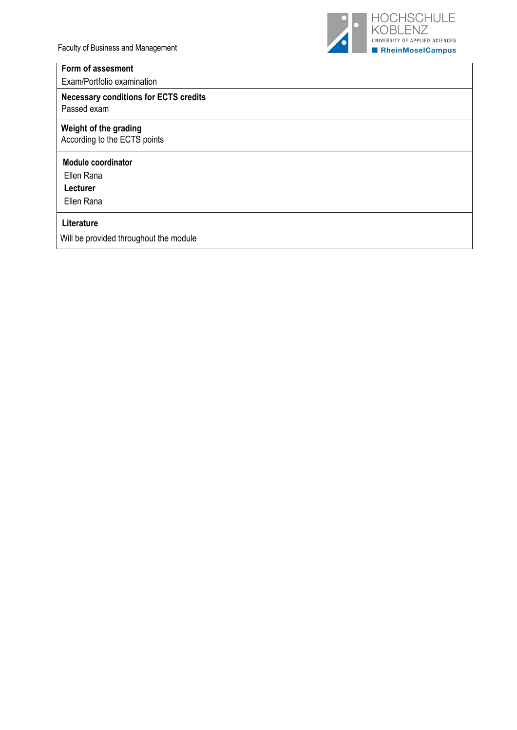

# **Form of assesment**

Exam/Portfolio examination

## **Necessary conditions for ECTS credits** Passed exam

## **Weight of the grading**

According to the ECTS points

## **Module coordinator**

Ellen Rana

**Lecturer**

Ellen Rana

#### **Literature**

Will be provided throughout the module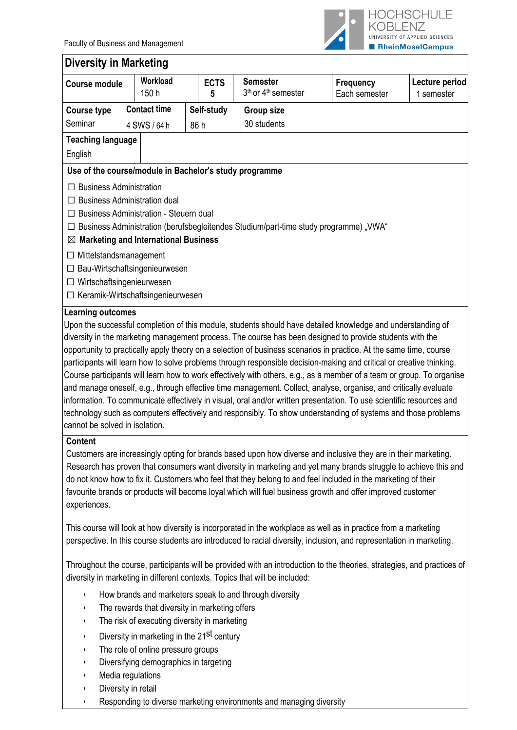

#### **Diversity in Marketing Course module Workload**  150 h **ECTS 5 Semester** 3<sup>th</sup> or 4<sup>th</sup> semester **Frequency** Each semester **Lecture period** 1 semester **Course type** Seminar **Contact time** 4 SWS / 64 h **Self-study** 86 h **Group size** 30 students **Teaching language** English **Use of the course/module in Bachelor's study programme** ☐ Business Administration ☐ Business Administration dual ☐ Business Administration - Steuern dual  $\Box$  Business Administration (berufsbegleitendes Studium/part-time study programme) "VWA" ☒ **Marketing and International Business** ☐ Mittelstandsmanagement ☐ Bau-Wirtschaftsingenieurwesen ☐ Wirtschaftsingenieurwesen ☐ Keramik-Wirtschaftsingenieurwesen **Learning outcomes** Upon the successful completion of this module, students should have detailed knowledge and understanding of diversity in the marketing management process. The course has been designed to provide students with the opportunity to practically apply theory on a selection of business scenarios in practice. At the same time, course participants will learn how to solve problems through responsible decision-making and critical or creative thinking. Course participants will learn how to work effectively with others, e.g., as a member of a team or group. To organise and manage oneself, e.g., through effective time management. Collect, analyse, organise, and critically evaluate information. To communicate effectively in visual, oral and/or written presentation. To use scientific resources and technology such as computers effectively and responsibly. To show understanding of systems and those problems cannot be solved in isolation. **Content** Customers are increasingly opting for brands based upon how diverse and inclusive they are in their marketing. Research has proven that consumers want diversity in marketing and yet many brands struggle to achieve this and do not know how to fix it. Customers who feel that they belong to and feel included in the marketing of their favourite brands or products will become loyal which will fuel business growth and offer improved customer experiences. This course will look at how diversity is incorporated in the workplace as well as in practice from a marketing perspective. In this course students are introduced to racial diversity, inclusion, and representation in marketing. Throughout the course, participants will be provided with an introduction to the theories, strategies, and practices of diversity in marketing in different contexts. Topics that will be included: ▪ How brands and marketers speak to and through diversity ▪ The rewards that diversity in marketing offers The risk of executing diversity in marketing **•** Diversity in marketing in the 21<sup>st</sup> century The role of online pressure groups Diversifying demographics in targeting Media regulations ▪ Diversity in retail

Responding to diverse marketing environments and managing diversity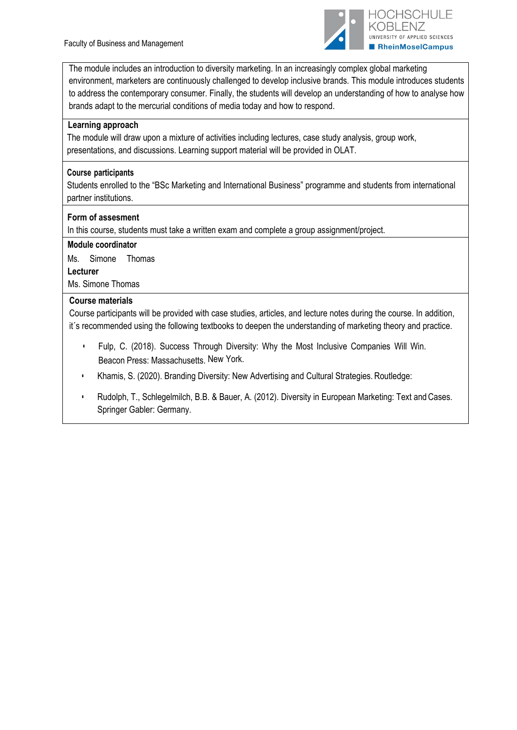

The module includes an introduction to diversity marketing. In an increasingly complex global marketing environment, marketers are continuously challenged to develop inclusive brands. This module introduces students to address the contemporary consumer. Finally, the students will develop an understanding of how to analyse how brands adapt to the mercurial conditions of media today and how to respond.

## **Learning approach**

The module will draw upon a mixture of activities including lectures, case study analysis, group work, presentations, and discussions. Learning support material will be provided in OLAT.

## **Course participants**

Students enrolled to the "BSc Marketing and International Business" programme and students from international partner institutions.

## **Form of assesment**

In this course, students must take a written exam and complete a group assignment/project.

## **Module coordinator**

Ms. Simone Thomas **Lecturer** Ms. Simone Thomas

## **Course materials**

Course participants will be provided with case studies, articles, and lecture notes during the course. In addition, it´s recommended using the following textbooks to deepen the understanding of marketing theory and practice.

- Fulp, C. (2018). Success Through Diversity: Why the Most Inclusive Companies Will Win. Beacon Press: Massachusetts. New York.
- Khamis, S. (2020). Branding Diversity: New Advertising and Cultural Strategies. Routledge:
- Rudolph, T., Schlegelmilch, B.B. & Bauer, A. (2012). Diversity in European Marketing: Text and Cases. Springer Gabler: Germany.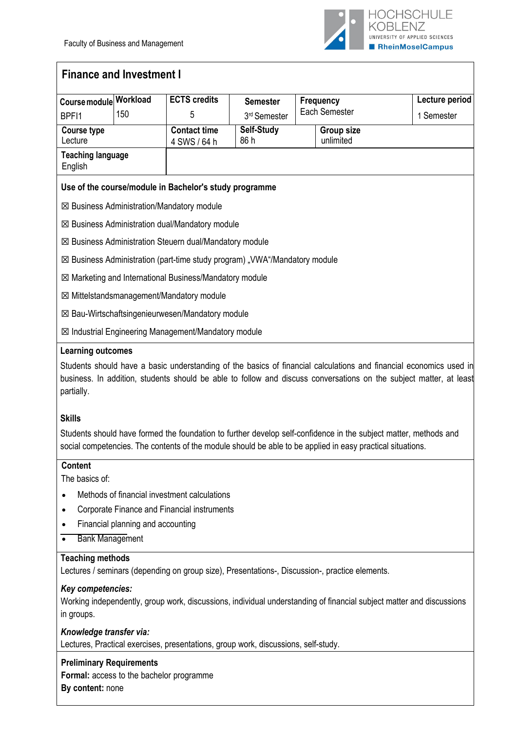

# **Finance and Investment I**

| Course module Workload              |     | <b>ECTS credits</b>                                       | <b>Semester</b>                                                            | <b>Frequency</b>                                                                                                                                                                                                                         | Lecture period |
|-------------------------------------|-----|-----------------------------------------------------------|----------------------------------------------------------------------------|------------------------------------------------------------------------------------------------------------------------------------------------------------------------------------------------------------------------------------------|----------------|
| BPF <sub>11</sub>                   | 150 | 5                                                         | 3 <sup>rd</sup> Semester                                                   | Each Semester                                                                                                                                                                                                                            | 1 Semester     |
| <b>Course type</b><br>Lecture       |     | <b>Contact time</b><br>4 SWS / 64 h                       | Self-Study<br>86 h                                                         | Group size<br>unlimited                                                                                                                                                                                                                  |                |
| <b>Teaching language</b><br>English |     |                                                           |                                                                            |                                                                                                                                                                                                                                          |                |
|                                     |     | Use of the course/module in Bachelor's study programme    |                                                                            |                                                                                                                                                                                                                                          |                |
|                                     |     | $\boxtimes$ Business Administration/Mandatory module      |                                                                            |                                                                                                                                                                                                                                          |                |
|                                     |     | $\boxtimes$ Business Administration dual/Mandatory module |                                                                            |                                                                                                                                                                                                                                          |                |
|                                     |     | ⊠ Business Administration Steuern dual/Mandatory module   |                                                                            |                                                                                                                                                                                                                                          |                |
|                                     |     |                                                           | ⊠ Business Administration (part-time study program) "VWA"/Mandatory module |                                                                                                                                                                                                                                          |                |
|                                     |     | ⊠ Marketing and International Business/Mandatory module   |                                                                            |                                                                                                                                                                                                                                          |                |
|                                     |     | ⊠ Mittelstandsmanagement/Mandatory module                 |                                                                            |                                                                                                                                                                                                                                          |                |
|                                     |     | ⊠ Bau-Wirtschaftsingenieurwesen/Mandatory module          |                                                                            |                                                                                                                                                                                                                                          |                |
|                                     |     | ⊠ Industrial Engineering Management/Mandatory module      |                                                                            |                                                                                                                                                                                                                                          |                |
| <b>Learning outcomes</b>            |     |                                                           |                                                                            |                                                                                                                                                                                                                                          |                |
| partially.                          |     |                                                           |                                                                            | Students should have a basic understanding of the basics of financial calculations and financial economics used in<br>business. In addition, students should be able to follow and discuss conversations on the subject matter, at least |                |

#### **Skills**

Students should have formed the foundation to further develop self-confidence in the subject matter, methods and social competencies. The contents of the module should be able to be applied in easy practical situations.

## **Content**

The basics of:

- Methods of financial investment calculations
- Corporate Finance and Financial instruments
- Financial planning and accounting
- Bank Management

## **Teaching methods**

Lectures / seminars (depending on group size), Presentations-, Discussion-, practice elements.

#### *Key competencies:*

Working independently, group work, discussions, individual understanding of financial subject matter and discussions in groups.

## *Knowledge transfer via:*

Lectures, Practical exercises, presentations, group work, discussions, self-study.

## **Preliminary Requirements**

**Formal:** access to the bachelor programme **By content:** none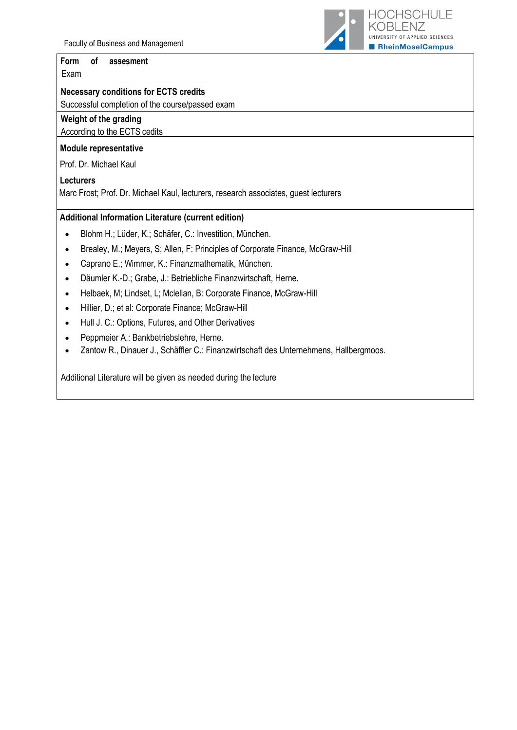Faculty of Business and Management

#### **Form of assesment**

Exam

## **Necessary conditions for ECTS credits**

Successful completion of the course/passed exam

# **Weight of the grading**

## According to the ECTS cedits

#### **Module representative**

Prof. Dr. Michael Kaul

## **Lecturers**

Marc Frost; Prof. Dr. Michael Kaul, lecturers, research associates, guest lecturers

## **Additional Information Literature (current edition)**

- Blohm H.; Lüder, K.; Schäfer, C.: Investition, München.
- Brealey, M.; Meyers, S; Allen, F: Principles of Corporate Finance, McGraw-Hill
- Caprano E.; Wimmer, K.: Finanzmathematik, München.
- Däumler K.-D.; Grabe, J.: Betriebliche Finanzwirtschaft, Herne.
- Helbaek, M; Lindset, L; Mclellan, B: Corporate Finance, McGraw-Hill
- Hillier, D.; et al: Corporate Finance; McGraw-Hill
- Hull J. C.: Options, Futures, and Other Derivatives
- Peppmeier A.: Bankbetriebslehre, Herne.
- Zantow R., Dinauer J., Schäffler C.: Finanzwirtschaft des Unternehmens, Hallbergmoos.

Additional Literature will be given as needed during the lecture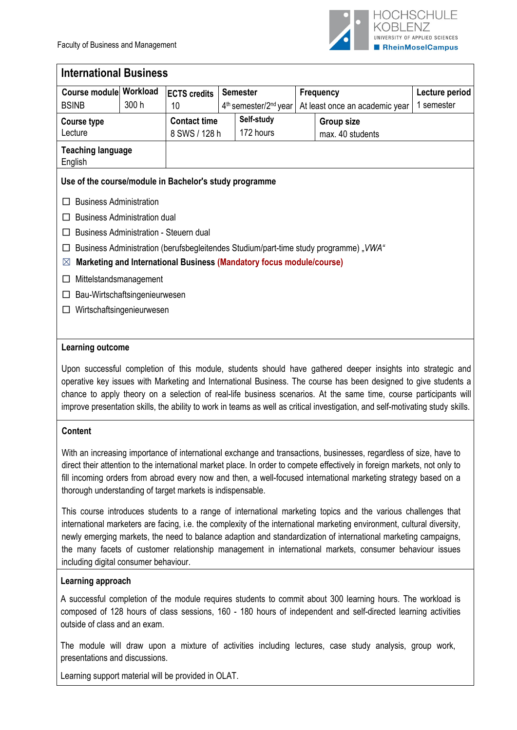

| <b>International Business</b>                          |          |                                        |  |                                                                      |                  |                                                                                      |                |  |
|--------------------------------------------------------|----------|----------------------------------------|--|----------------------------------------------------------------------|------------------|--------------------------------------------------------------------------------------|----------------|--|
| Course module                                          | Workload | <b>ECTS</b> credits                    |  | <b>Semester</b>                                                      | <b>Frequency</b> |                                                                                      | Lecture period |  |
| <b>BSINB</b>                                           | 300 h    | 10                                     |  | 4 <sup>th</sup> semester/2 <sup>nd</sup> year                        |                  | At least once an academic year                                                       | 1 semester     |  |
| Course type                                            |          | <b>Contact time</b>                    |  | Self-study                                                           |                  | <b>Group size</b>                                                                    |                |  |
| Lecture                                                |          | 8 SWS / 128 h                          |  | 172 hours                                                            |                  | max. 40 students                                                                     |                |  |
| <b>Teaching language</b><br>English                    |          |                                        |  |                                                                      |                  |                                                                                      |                |  |
| Use of the course/module in Bachelor's study programme |          |                                        |  |                                                                      |                  |                                                                                      |                |  |
| <b>Business Administration</b>                         |          |                                        |  |                                                                      |                  |                                                                                      |                |  |
| <b>Business Administration dual</b>                    |          |                                        |  |                                                                      |                  |                                                                                      |                |  |
|                                                        |          | Business Administration - Steuern dual |  |                                                                      |                  |                                                                                      |                |  |
|                                                        |          |                                        |  |                                                                      |                  | Business Administration (berufsbegleitendes Studium/part-time study programme), VWA" |                |  |
| $\boxtimes$                                            |          |                                        |  | Marketing and International Business (Mandatory focus module/course) |                  |                                                                                      |                |  |
| Mittelstandsmanagement                                 |          |                                        |  |                                                                      |                  |                                                                                      |                |  |
| Bau-Wirtschaftsingenieurwesen                          |          |                                        |  |                                                                      |                  |                                                                                      |                |  |
| Wirtschaftsingenieurwesen                              |          |                                        |  |                                                                      |                  |                                                                                      |                |  |
|                                                        |          |                                        |  |                                                                      |                  |                                                                                      |                |  |

## **Learning outcome**

Upon successful completion of this module, students should have gathered deeper insights into strategic and operative key issues with Marketing and International Business. The course has been designed to give students a chance to apply theory on a selection of real-life business scenarios. At the same time, course participants will improve presentation skills, the ability to work in teams as well as critical investigation, and self-motivating study skills.

## **Content**

With an increasing importance of international exchange and transactions, businesses, regardless of size, have to direct their attention to the international market place. In order to compete effectively in foreign markets, not only to fill incoming orders from abroad every now and then, a well-focused international marketing strategy based on a thorough understanding of target markets is indispensable.

This course introduces students to a range of international marketing topics and the various challenges that international marketers are facing, i.e. the complexity of the international marketing environment, cultural diversity, newly emerging markets, the need to balance adaption and standardization of international marketing campaigns, the many facets of customer relationship management in international markets, consumer behaviour issues including digital consumer behaviour.

## **Learning approach**

A successful completion of the module requires students to commit about 300 learning hours. The workload is composed of 128 hours of class sessions, 160 - 180 hours of independent and self-directed learning activities outside of class and an exam.

The module will draw upon a mixture of activities including lectures, case study analysis, group work, presentations and discussions.

Learning support material will be provided in OLAT.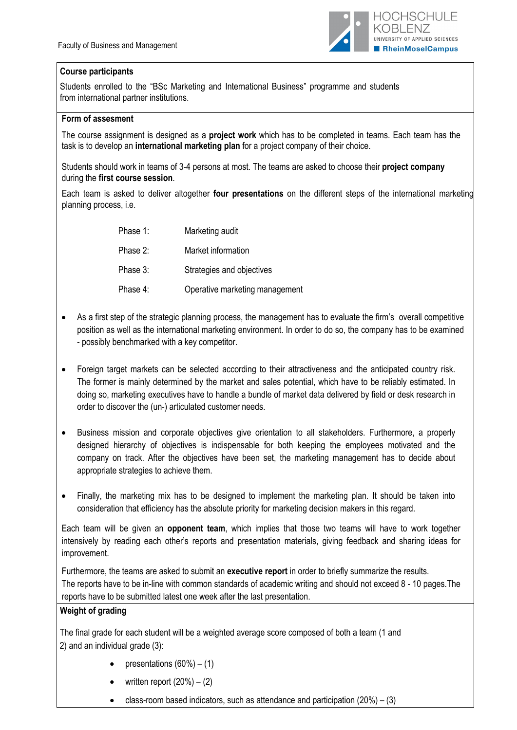

## **Course participants**

Students enrolled to the "BSc Marketing and International Business" programme and students from international partner institutions.

#### **Form of assesment**

The course assignment is designed as a **project work** which has to be completed in teams. Each team has the task is to develop an **international marketing plan** for a project company of their choice.

Students should work in teams of 3-4 persons at most. The teams are asked to choose their **project company** during the **first course session**.

Each team is asked to deliver altogether **four presentations** on the different steps of the international marketing planning process, i.e.

| Phase 1: | Marketing audit                |
|----------|--------------------------------|
| Phase 2: | Market information             |
| Phase 3: | Strategies and objectives      |
| Phase 4: | Operative marketing management |

- As a first step of the strategic planning process, the management has to evaluate the firm's overall competitive position as well as the international marketing environment. In order to do so, the company has to be examined - possibly benchmarked with a key competitor.
- Foreign target markets can be selected according to their attractiveness and the anticipated country risk. The former is mainly determined by the market and sales potential, which have to be reliably estimated. In doing so, marketing executives have to handle a bundle of market data delivered by field or desk research in order to discover the (un-) articulated customer needs.
- Business mission and corporate objectives give orientation to all stakeholders. Furthermore, a properly designed hierarchy of objectives is indispensable for both keeping the employees motivated and the company on track. After the objectives have been set, the marketing management has to decide about appropriate strategies to achieve them.
- Finally, the marketing mix has to be designed to implement the marketing plan. It should be taken into consideration that efficiency has the absolute priority for marketing decision makers in this regard.

Each team will be given an **opponent team**, which implies that those two teams will have to work together intensively by reading each other's reports and presentation materials, giving feedback and sharing ideas for improvement.

Furthermore, the teams are asked to submit an **executive report** in order to briefly summarize the results. The reports have to be in-line with common standards of academic writing and should not exceed 8 - 10 pages.The reports have to be submitted latest one week after the last presentation.

## **Weight of grading**

The final grade for each student will be a weighted average score composed of both a team (1 and 2) and an individual grade (3):

- presentations  $(60\%) (1)$
- written report  $(20\%) (2)$
- class-room based indicators, such as attendance and participation  $(20%) (3)$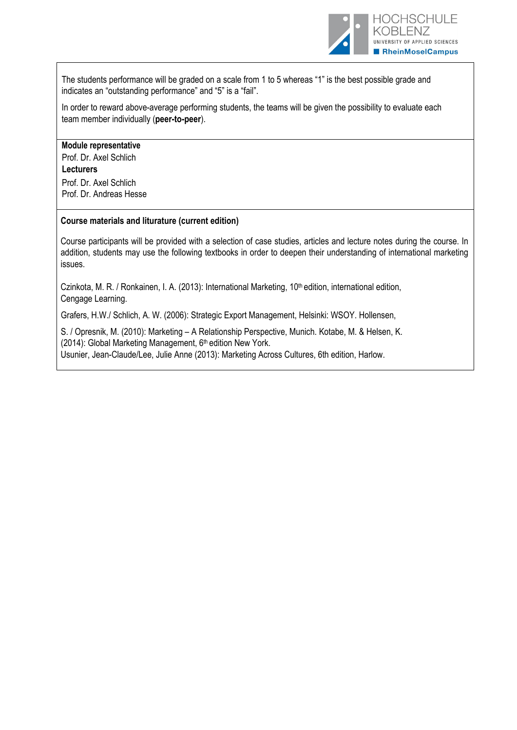

The students performance will be graded on a scale from 1 to 5 whereas "1" is the best possible grade and indicates an "outstanding performance" and "5" is a "fail".

In order to reward above-average performing students, the teams will be given the possibility to evaluate each team member individually (**peer-to-peer**).

#### **Module representative**

Prof. Dr. Axel Schlich **Lecturers** Prof. Dr. Axel Schlich Prof. Dr. Andreas Hesse

#### **Course materials and liturature (current edition)**

Course participants will be provided with a selection of case studies, articles and lecture notes during the course. In addition, students may use the following textbooks in order to deepen their understanding of international marketing issues.

Czinkota, M. R. / Ronkainen, I. A. (2013): International Marketing, 10<sup>th</sup> edition, international edition, Cengage Learning.

Grafers, H.W./ Schlich, A. W. (2006): Strategic Export Management, Helsinki: WSOY. Hollensen,

S. / Opresnik, M. (2010): Marketing – A Relationship Perspective, Munich. Kotabe, M. & Helsen, K. (2014): Global Marketing Management,  $6<sup>th</sup>$  edition New York. Usunier, Jean-Claude/Lee, Julie Anne (2013): Marketing Across Cultures, 6th edition, Harlow.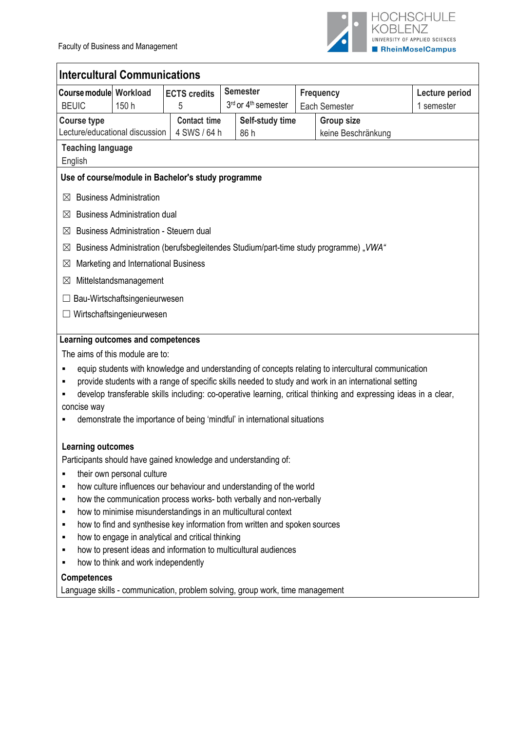

| <b>Intercultural Communications</b> |                                                             |                                                    |                                                                            |  |                                                                                                                  |                |  |  |  |
|-------------------------------------|-------------------------------------------------------------|----------------------------------------------------|----------------------------------------------------------------------------|--|------------------------------------------------------------------------------------------------------------------|----------------|--|--|--|
| <b>Course module Workload</b>       |                                                             | <b>ECTS credits</b>                                | <b>Semester</b>                                                            |  | <b>Frequency</b>                                                                                                 | Lecture period |  |  |  |
| <b>BEUIC</b>                        | 150 h                                                       | 5                                                  | 3rd or 4 <sup>th</sup> semester                                            |  | Each Semester                                                                                                    | 1 semester     |  |  |  |
| <b>Course type</b>                  | <b>Contact time</b><br>Self-study time<br><b>Group size</b> |                                                    |                                                                            |  |                                                                                                                  |                |  |  |  |
| Lecture/educational discussion      |                                                             | 4 SWS / 64 h                                       | 86 h                                                                       |  | keine Beschränkung                                                                                               |                |  |  |  |
| <b>Teaching language</b><br>English |                                                             |                                                    |                                                                            |  |                                                                                                                  |                |  |  |  |
|                                     |                                                             | Use of course/module in Bachelor's study programme |                                                                            |  |                                                                                                                  |                |  |  |  |
| $\boxtimes$                         | <b>Business Administration</b>                              |                                                    |                                                                            |  |                                                                                                                  |                |  |  |  |
| ⋈                                   | <b>Business Administration dual</b>                         |                                                    |                                                                            |  |                                                                                                                  |                |  |  |  |
| ⋈                                   | <b>Business Administration - Steuern dual</b>               |                                                    |                                                                            |  |                                                                                                                  |                |  |  |  |
| $\boxtimes$                         |                                                             |                                                    |                                                                            |  | Business Administration (berufsbegleitendes Studium/part-time study programme), VWA"                             |                |  |  |  |
| ⊠                                   | Marketing and International Business                        |                                                    |                                                                            |  |                                                                                                                  |                |  |  |  |
| ⊠                                   | Mittelstandsmanagement                                      |                                                    |                                                                            |  |                                                                                                                  |                |  |  |  |
|                                     | Bau-Wirtschaftsingenieurwesen                               |                                                    |                                                                            |  |                                                                                                                  |                |  |  |  |
|                                     | Wirtschaftsingenieurwesen                                   |                                                    |                                                                            |  |                                                                                                                  |                |  |  |  |
|                                     |                                                             |                                                    |                                                                            |  |                                                                                                                  |                |  |  |  |
| Learning outcomes and competences   |                                                             |                                                    |                                                                            |  |                                                                                                                  |                |  |  |  |
| The aims of this module are to:     |                                                             |                                                    |                                                                            |  |                                                                                                                  |                |  |  |  |
|                                     |                                                             |                                                    |                                                                            |  | equip students with knowledge and understanding of concepts relating to intercultural communication              |                |  |  |  |
| ٠                                   |                                                             |                                                    |                                                                            |  | provide students with a range of specific skills needed to study and work in an international setting            |                |  |  |  |
| concise way                         |                                                             |                                                    |                                                                            |  | develop transferable skills including: co-operative learning, critical thinking and expressing ideas in a clear, |                |  |  |  |
|                                     |                                                             |                                                    | demonstrate the importance of being 'mindful' in international situations  |  |                                                                                                                  |                |  |  |  |
|                                     |                                                             |                                                    |                                                                            |  |                                                                                                                  |                |  |  |  |
| <b>Learning outcomes</b>            |                                                             |                                                    |                                                                            |  |                                                                                                                  |                |  |  |  |
|                                     |                                                             |                                                    | Participants should have gained knowledge and understanding of:            |  |                                                                                                                  |                |  |  |  |
| ٠                                   | their own personal culture                                  |                                                    |                                                                            |  |                                                                                                                  |                |  |  |  |
| ٠                                   |                                                             |                                                    | how culture influences our behaviour and understanding of the world        |  |                                                                                                                  |                |  |  |  |
| ٠                                   |                                                             |                                                    | how the communication process works- both verbally and non-verbally        |  |                                                                                                                  |                |  |  |  |
| ٠                                   |                                                             |                                                    | how to minimise misunderstandings in an multicultural context              |  |                                                                                                                  |                |  |  |  |
| ٠<br>٠                              |                                                             | how to engage in analytical and critical thinking  | how to find and synthesise key information from written and spoken sources |  |                                                                                                                  |                |  |  |  |
| ٠                                   |                                                             |                                                    | how to present ideas and information to multicultural audiences            |  |                                                                                                                  |                |  |  |  |
| ٠                                   | how to think and work independently                         |                                                    |                                                                            |  |                                                                                                                  |                |  |  |  |
| <b>Competences</b>                  |                                                             |                                                    |                                                                            |  |                                                                                                                  |                |  |  |  |

Language skills - communication, problem solving, group work, time management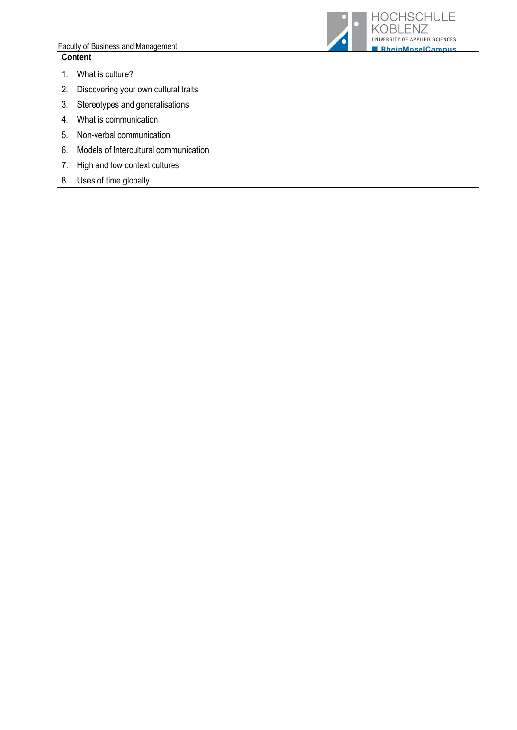#### Faculty of Business and Management **Content**

- 1. What is culture?
- 2. Discovering your own cultural traits
- 3. Stereotypes and generalisations
- 4. What is communication
- 5. Non-verbal communication
- 6. Models of Intercultural communication
- 7. High and low context cultures
- 8. Uses of time globally

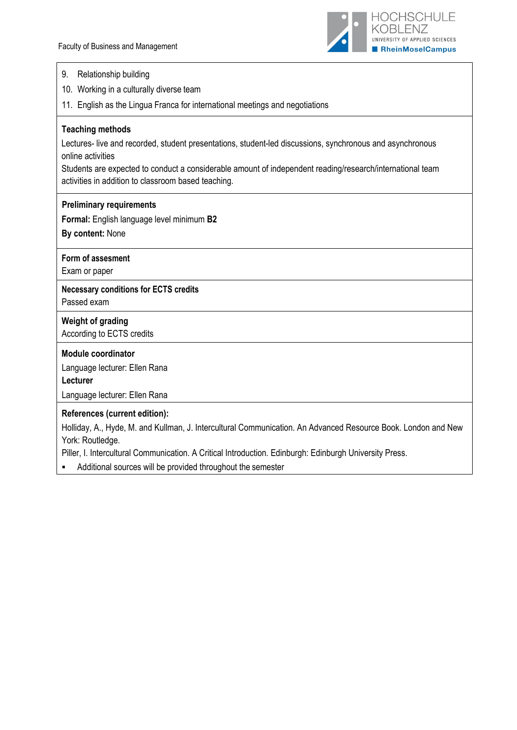

| 9. | Relationship building |  |
|----|-----------------------|--|
|----|-----------------------|--|

- 10. Working in a culturally diverse team
- 11. English as the Lingua Franca for international meetings and negotiations

#### **Teaching methods**

Lectures- live and recorded, student presentations, student-led discussions, synchronous and asynchronous online activities

Students are expected to conduct a considerable amount of independent reading/research/international team activities in addition to classroom based teaching.

#### **Preliminary requirements**

**Formal:** English language level minimum **B2**

**By content:** None

## **Form of assesment**

Exam or paper

#### **Necessary conditions for ECTS credits**  Passed exam

# **Weight of grading**

According to ECTS credits

#### **Module coordinator**

Language lecturer: Ellen Rana

**Lecturer**

Language lecturer: Ellen Rana

#### **References (current edition):**

Holliday, A., Hyde, M. and Kullman, J. Intercultural Communication. An Advanced Resource Book. London and New York: Routledge.

Piller, I. Intercultural Communication. A Critical Introduction. Edinburgh: Edinburgh University Press.

Additional sources will be provided throughout the semester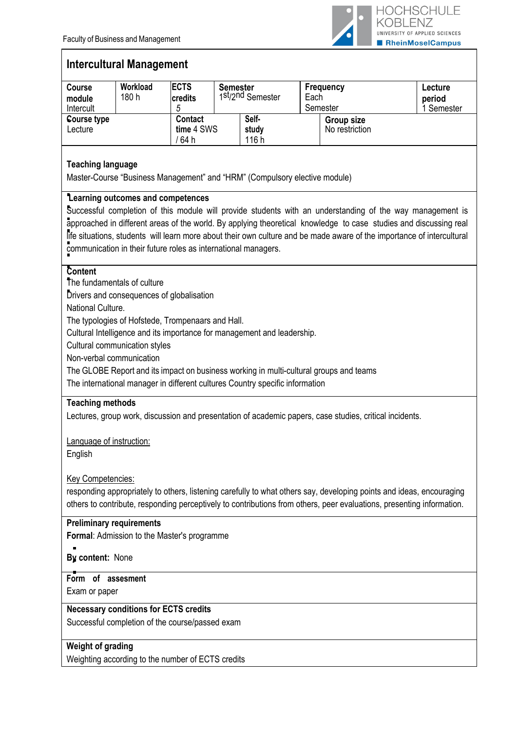

# **Intercultural Management**

| <b>Course</b><br>module<br>Intercult                                                                                                                                                                                                                                                                                                                                                                    | Workload<br>180 h | <b>ECTS</b><br>credits<br>5            | <b>Semester</b> | 1st/2nd Semester        | Frequency<br>Each<br>Semester |                              | Lecture<br>period<br>I Semester |
|---------------------------------------------------------------------------------------------------------------------------------------------------------------------------------------------------------------------------------------------------------------------------------------------------------------------------------------------------------------------------------------------------------|-------------------|----------------------------------------|-----------------|-------------------------|-------------------------------|------------------------------|---------------------------------|
| Course type<br>Lecture                                                                                                                                                                                                                                                                                                                                                                                  |                   | <b>Contact</b><br>time 4 SWS<br>′ 64 h |                 | Self-<br>study<br>116 h |                               | Group size<br>No restriction |                                 |
| <b>Teaching language</b><br>Master-Course "Business Management" and "HRM" (Compulsory elective module)                                                                                                                                                                                                                                                                                                  |                   |                                        |                 |                         |                               |                              |                                 |
| Learning outcomes and competences<br>Successful completion of this module will provide students with an understanding of the way management is<br>approached in different areas of the world. By applying theoretical knowledge to case studies and discussing real<br><u>Re situations, students, will lasse more about their sum sultive and ha mode sugges of the importance of interestinguilty</u> |                   |                                        |                 |                         |                               |                              |                                 |

life situations, students will learn more about their own culture and be made aware of the importance of intercultural communication in their future roles as international managers.

## **Content**

The fundamentals of culture

Drivers and consequences of globalisation

National Culture.

The typologies of Hofstede, Trompenaars and Hall.

Cultural Intelligence and its importance for management and leadership.

Cultural communication styles

Non-verbal communication

The GLOBE Report and its impact on business working in multi-cultural groups and teams

The international manager in different cultures Country specific information

## **Teaching methods**

Lectures, group work, discussion and presentation of academic papers, case studies, critical incidents.

Language of instruction:

English

## Key Competencies:

responding appropriately to others, listening carefully to what others say, developing points and ideas, encouraging others to contribute, responding perceptively to contributions from others, peer evaluations, presenting information.

## **Preliminary requirements**

**Formal**: Admission to the Master's programme

**By content:** None

## **Form of assesment**

Exam or paper

## **Necessary conditions for ECTS credits**

Successful completion of the course/passed exam

## **Weight of grading**

Weighting according to the number of ECTS credits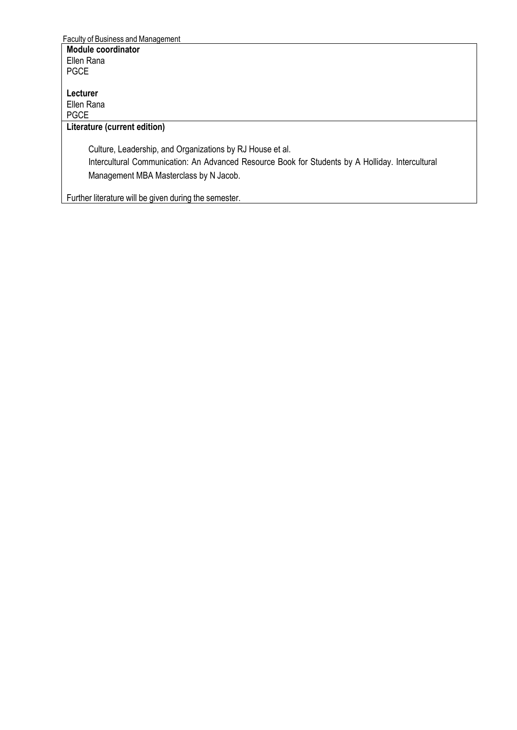Faculty of Business and Management **Module coordinator**  Ellen Rana PGCE

**Lecturer** Ellen Rana PGCE

## **Literature (current edition)**

Culture, Leadership, and Organizations by RJ House et al. Intercultural Communication: An Advanced Resource Book for Students by A Holliday. Intercultural Management MBA Masterclass by N Jacob.

Further literature will be given during the semester.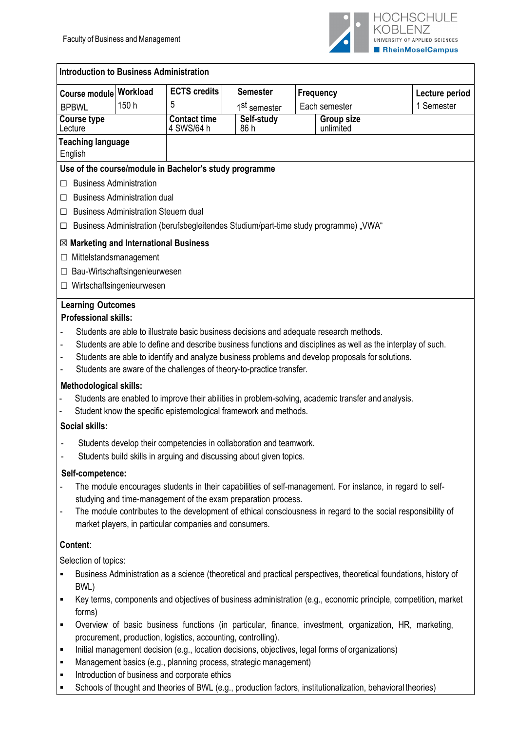

| Course module                                           | Workload                                    | <b>ECTS credits</b>                                                                                          | <b>Semester</b>          |                                | Frequency     | Lecture period                                                                                                    |
|---------------------------------------------------------|---------------------------------------------|--------------------------------------------------------------------------------------------------------------|--------------------------|--------------------------------|---------------|-------------------------------------------------------------------------------------------------------------------|
| <b>BPBWL</b>                                            | 150 h                                       | 5                                                                                                            | 1 <sup>st</sup> semester |                                | Each semester | 1 Semester                                                                                                        |
| <b>Course type</b><br>Lecture                           |                                             | <b>Contact time</b><br>4 SWS/64 h                                                                            | Self-study<br>86 h       | <b>Group size</b><br>unlimited |               |                                                                                                                   |
| <b>Teaching language</b><br>English                     |                                             |                                                                                                              |                          |                                |               |                                                                                                                   |
|                                                         |                                             | Use of the course/module in Bachelor's study programme                                                       |                          |                                |               |                                                                                                                   |
| п                                                       | <b>Business Administration</b>              |                                                                                                              |                          |                                |               |                                                                                                                   |
| П                                                       | <b>Business Administration dual</b>         |                                                                                                              |                          |                                |               |                                                                                                                   |
| □                                                       | <b>Business Administration Steuern dual</b> |                                                                                                              |                          |                                |               |                                                                                                                   |
| ப                                                       |                                             | Business Administration (berufsbegleitendes Studium/part-time study programme) "VWA"                         |                          |                                |               |                                                                                                                   |
| $\boxtimes$ Marketing and International Business        |                                             |                                                                                                              |                          |                                |               |                                                                                                                   |
|                                                         | Mittelstandsmanagement                      |                                                                                                              |                          |                                |               |                                                                                                                   |
| ப                                                       | Bau-Wirtschaftsingenieurwesen               |                                                                                                              |                          |                                |               |                                                                                                                   |
| ப                                                       | Wirtschaftsingenieurwesen                   |                                                                                                              |                          |                                |               |                                                                                                                   |
|                                                         |                                             |                                                                                                              |                          |                                |               |                                                                                                                   |
| <b>Learning Outcomes</b><br><b>Professional skills:</b> |                                             |                                                                                                              |                          |                                |               |                                                                                                                   |
|                                                         |                                             |                                                                                                              |                          |                                |               |                                                                                                                   |
|                                                         |                                             | Students are able to illustrate basic business decisions and adequate research methods.                      |                          |                                |               | Students are able to define and describe business functions and disciplines as well as the interplay of such.     |
| -                                                       |                                             | Students are able to identify and analyze business problems and develop proposals for solutions.             |                          |                                |               |                                                                                                                   |
| ٠                                                       |                                             | Students are aware of the challenges of theory-to-practice transfer.                                         |                          |                                |               |                                                                                                                   |
|                                                         |                                             |                                                                                                              |                          |                                |               |                                                                                                                   |
| <b>Methodological skills:</b>                           |                                             | Students are enabled to improve their abilities in problem-solving, academic transfer and analysis.          |                          |                                |               |                                                                                                                   |
|                                                         |                                             | Student know the specific epistemological framework and methods.                                             |                          |                                |               |                                                                                                                   |
| Social skills:                                          |                                             |                                                                                                              |                          |                                |               |                                                                                                                   |
|                                                         |                                             |                                                                                                              |                          |                                |               |                                                                                                                   |
|                                                         |                                             | Students develop their competencies in collaboration and teamwork.                                           |                          |                                |               |                                                                                                                   |
|                                                         |                                             | Students build skills in arguing and discussing about given topics.                                          |                          |                                |               |                                                                                                                   |
| Self-competence:                                        |                                             |                                                                                                              |                          |                                |               |                                                                                                                   |
|                                                         |                                             | The module encourages students in their capabilities of self-management. For instance, in regard to self-    |                          |                                |               |                                                                                                                   |
|                                                         |                                             | studying and time-management of the exam preparation process.                                                |                          |                                |               |                                                                                                                   |
| $\overline{\phantom{0}}$                                |                                             | market players, in particular companies and consumers.                                                       |                          |                                |               | The module contributes to the development of ethical consciousness in regard to the social responsibility of      |
|                                                         |                                             |                                                                                                              |                          |                                |               |                                                                                                                   |
| Content:                                                |                                             |                                                                                                              |                          |                                |               |                                                                                                                   |
| Selection of topics:                                    |                                             |                                                                                                              |                          |                                |               |                                                                                                                   |
| ٠                                                       |                                             |                                                                                                              |                          |                                |               | Business Administration as a science (theoretical and practical perspectives, theoretical foundations, history of |
| BWL)                                                    |                                             |                                                                                                              |                          |                                |               |                                                                                                                   |
| ٠<br>forms)                                             |                                             |                                                                                                              |                          |                                |               | Key terms, components and objectives of business administration (e.g., economic principle, competition, market    |
| ٠                                                       |                                             |                                                                                                              |                          |                                |               | Overview of basic business functions (in particular, finance, investment, organization, HR, marketing,            |
|                                                         |                                             | procurement, production, logistics, accounting, controlling).                                                |                          |                                |               |                                                                                                                   |
| ٠                                                       |                                             | Initial management decision (e.g., location decisions, objectives, legal forms of organizations)             |                          |                                |               |                                                                                                                   |
| ٠                                                       |                                             | Management basics (e.g., planning process, strategic management)                                             |                          |                                |               |                                                                                                                   |
| ٠                                                       |                                             | Introduction of business and corporate ethics                                                                |                          |                                |               |                                                                                                                   |
| $\blacksquare$                                          |                                             | Schools of thought and theories of BWL (e.g., production factors, institutionalization, behavioral theories) |                          |                                |               |                                                                                                                   |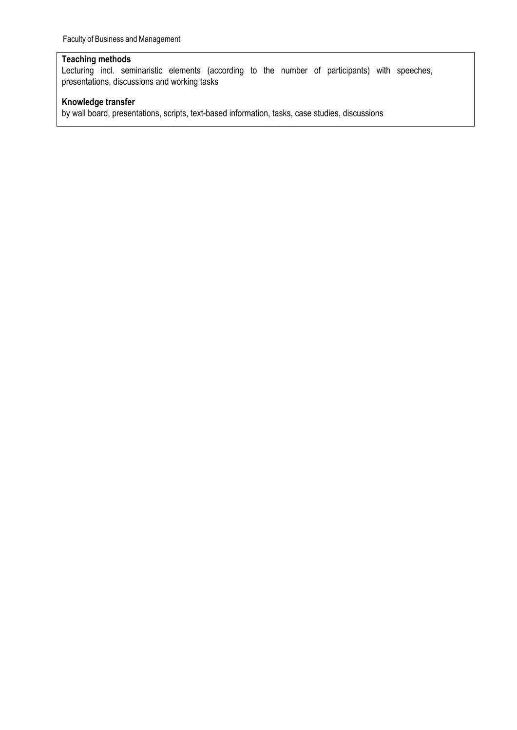## **Teaching methods**

Lecturing incl. seminaristic elements (according to the number of participants) with speeches, presentations, discussions and working tasks

## **Knowledge transfer**

by wall board, presentations, scripts, text-based information, tasks, case studies, discussions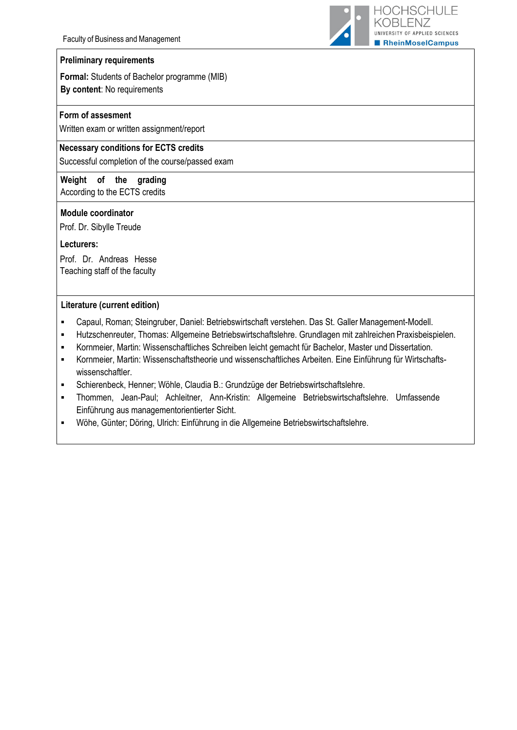

#### **Preliminary requirements**

**Formal:** Students of Bachelor programme (MIB) **By content**: No requirements

#### **Form of assesment**

Written exam or written assignment/report

#### **Necessary conditions for ECTS credits**

Successful completion of the course/passed exam

**Weight of the grading**  According to the ECTS credits

#### **Module coordinator**

Prof. Dr. Sibylle Treude

#### **Lecturers:**

Prof. Dr. Andreas Hesse Teaching staff of the faculty

#### **Literature (current edition)**

- Capaul, Roman; Steingruber, Daniel: Betriebswirtschaft verstehen. Das St. Galler Management-Modell.
- Hutzschenreuter, Thomas: Allgemeine Betriebswirtschaftslehre. Grundlagen mit zahlreichen Praxisbeispielen.
- Kornmeier, Martin: Wissenschaftliches Schreiben leicht gemacht für Bachelor, Master und Dissertation.
- Kornmeier, Martin: Wissenschaftstheorie und wissenschaftliches Arbeiten. Eine Einführung für Wirtschaftswissenschaftler.
- Schierenbeck, Henner; Wöhle, Claudia B.: Grundzüge der Betriebswirtschaftslehre.
- Thommen, Jean-Paul; Achleitner, Ann-Kristin: Allgemeine Betriebswirtschaftslehre. Umfassende Einführung aus managementorientierter Sicht.
- Wöhe, Günter; Döring, Ulrich: Einführung in die Allgemeine Betriebswirtschaftslehre.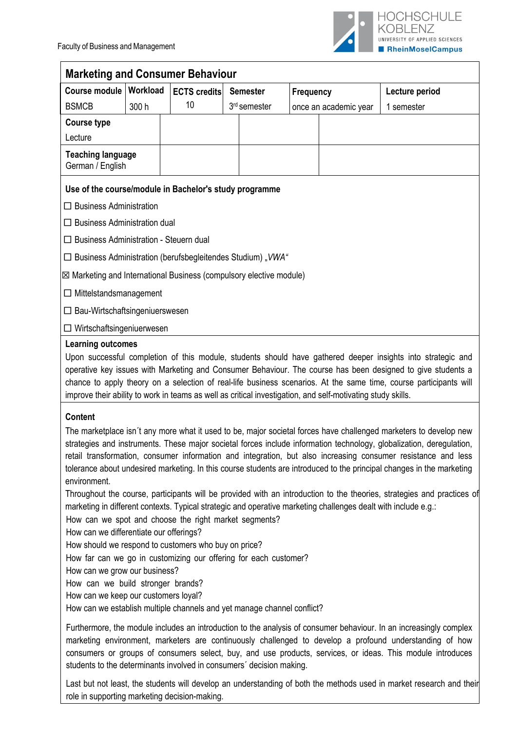

|                                                                                                                                                                                                                                                                                                                                                                                                                                                                                                                                                                                                                                                                                                                                                                                                                                                                                                                                                                                                                                                                                                                                                                                            |                                              | <b>Marketing and Consumer Behaviour</b>                              |  |                          |                  |                                                                                                             |                                                                                                                                                                                                                                                                                                                                                                                                                                                                    |  |  |  |
|--------------------------------------------------------------------------------------------------------------------------------------------------------------------------------------------------------------------------------------------------------------------------------------------------------------------------------------------------------------------------------------------------------------------------------------------------------------------------------------------------------------------------------------------------------------------------------------------------------------------------------------------------------------------------------------------------------------------------------------------------------------------------------------------------------------------------------------------------------------------------------------------------------------------------------------------------------------------------------------------------------------------------------------------------------------------------------------------------------------------------------------------------------------------------------------------|----------------------------------------------|----------------------------------------------------------------------|--|--------------------------|------------------|-------------------------------------------------------------------------------------------------------------|--------------------------------------------------------------------------------------------------------------------------------------------------------------------------------------------------------------------------------------------------------------------------------------------------------------------------------------------------------------------------------------------------------------------------------------------------------------------|--|--|--|
| Course module   Workload                                                                                                                                                                                                                                                                                                                                                                                                                                                                                                                                                                                                                                                                                                                                                                                                                                                                                                                                                                                                                                                                                                                                                                   |                                              | <b>ECTS</b> credits                                                  |  | <b>Semester</b>          | <b>Frequency</b> |                                                                                                             | Lecture period                                                                                                                                                                                                                                                                                                                                                                                                                                                     |  |  |  |
| <b>BSMCB</b>                                                                                                                                                                                                                                                                                                                                                                                                                                                                                                                                                                                                                                                                                                                                                                                                                                                                                                                                                                                                                                                                                                                                                                               | 300 h                                        | 10                                                                   |  | 3 <sup>rd</sup> semester |                  | once an academic year                                                                                       | 1 semester                                                                                                                                                                                                                                                                                                                                                                                                                                                         |  |  |  |
| <b>Course type</b>                                                                                                                                                                                                                                                                                                                                                                                                                                                                                                                                                                                                                                                                                                                                                                                                                                                                                                                                                                                                                                                                                                                                                                         |                                              |                                                                      |  |                          |                  |                                                                                                             |                                                                                                                                                                                                                                                                                                                                                                                                                                                                    |  |  |  |
| Lecture                                                                                                                                                                                                                                                                                                                                                                                                                                                                                                                                                                                                                                                                                                                                                                                                                                                                                                                                                                                                                                                                                                                                                                                    |                                              |                                                                      |  |                          |                  |                                                                                                             |                                                                                                                                                                                                                                                                                                                                                                                                                                                                    |  |  |  |
|                                                                                                                                                                                                                                                                                                                                                                                                                                                                                                                                                                                                                                                                                                                                                                                                                                                                                                                                                                                                                                                                                                                                                                                            | <b>Teaching language</b><br>German / English |                                                                      |  |                          |                  |                                                                                                             |                                                                                                                                                                                                                                                                                                                                                                                                                                                                    |  |  |  |
|                                                                                                                                                                                                                                                                                                                                                                                                                                                                                                                                                                                                                                                                                                                                                                                                                                                                                                                                                                                                                                                                                                                                                                                            |                                              | Use of the course/module in Bachelor's study programme               |  |                          |                  |                                                                                                             |                                                                                                                                                                                                                                                                                                                                                                                                                                                                    |  |  |  |
| $\Box$ Business Administration                                                                                                                                                                                                                                                                                                                                                                                                                                                                                                                                                                                                                                                                                                                                                                                                                                                                                                                                                                                                                                                                                                                                                             |                                              |                                                                      |  |                          |                  |                                                                                                             |                                                                                                                                                                                                                                                                                                                                                                                                                                                                    |  |  |  |
| $\Box$ Business Administration dual                                                                                                                                                                                                                                                                                                                                                                                                                                                                                                                                                                                                                                                                                                                                                                                                                                                                                                                                                                                                                                                                                                                                                        |                                              |                                                                      |  |                          |                  |                                                                                                             |                                                                                                                                                                                                                                                                                                                                                                                                                                                                    |  |  |  |
| $\Box$ Business Administration - Steuern dual                                                                                                                                                                                                                                                                                                                                                                                                                                                                                                                                                                                                                                                                                                                                                                                                                                                                                                                                                                                                                                                                                                                                              |                                              |                                                                      |  |                          |                  |                                                                                                             |                                                                                                                                                                                                                                                                                                                                                                                                                                                                    |  |  |  |
| $\Box$ Business Administration (berufsbegleitendes Studium), VWA"                                                                                                                                                                                                                                                                                                                                                                                                                                                                                                                                                                                                                                                                                                                                                                                                                                                                                                                                                                                                                                                                                                                          |                                              |                                                                      |  |                          |                  |                                                                                                             |                                                                                                                                                                                                                                                                                                                                                                                                                                                                    |  |  |  |
| $\boxtimes$ Marketing and International Business (compulsory elective module)                                                                                                                                                                                                                                                                                                                                                                                                                                                                                                                                                                                                                                                                                                                                                                                                                                                                                                                                                                                                                                                                                                              |                                              |                                                                      |  |                          |                  |                                                                                                             |                                                                                                                                                                                                                                                                                                                                                                                                                                                                    |  |  |  |
| $\Box$ Mittelstandsmanagement                                                                                                                                                                                                                                                                                                                                                                                                                                                                                                                                                                                                                                                                                                                                                                                                                                                                                                                                                                                                                                                                                                                                                              |                                              |                                                                      |  |                          |                  |                                                                                                             |                                                                                                                                                                                                                                                                                                                                                                                                                                                                    |  |  |  |
| $\Box$ Bau-Wirtschaftsingeniuerswesen                                                                                                                                                                                                                                                                                                                                                                                                                                                                                                                                                                                                                                                                                                                                                                                                                                                                                                                                                                                                                                                                                                                                                      |                                              |                                                                      |  |                          |                  |                                                                                                             |                                                                                                                                                                                                                                                                                                                                                                                                                                                                    |  |  |  |
| Wirtschaftsingeniuerwesen                                                                                                                                                                                                                                                                                                                                                                                                                                                                                                                                                                                                                                                                                                                                                                                                                                                                                                                                                                                                                                                                                                                                                                  |                                              |                                                                      |  |                          |                  |                                                                                                             |                                                                                                                                                                                                                                                                                                                                                                                                                                                                    |  |  |  |
|                                                                                                                                                                                                                                                                                                                                                                                                                                                                                                                                                                                                                                                                                                                                                                                                                                                                                                                                                                                                                                                                                                                                                                                            |                                              |                                                                      |  |                          |                  | improve their ability to work in teams as well as critical investigation, and self-motivating study skills. | Upon successful completion of this module, students should have gathered deeper insights into strategic and<br>operative key issues with Marketing and Consumer Behaviour. The course has been designed to give students a<br>chance to apply theory on a selection of real-life business scenarios. At the same time, course participants will                                                                                                                    |  |  |  |
| <b>Content</b><br>The marketplace isn't any more what it used to be, major societal forces have challenged marketers to develop new<br>strategies and instruments. These major societal forces include information technology, globalization, deregulation,<br>retail transformation, consumer information and integration, but also increasing consumer resistance and less<br>tolerance about undesired marketing. In this course students are introduced to the principal changes in the marketing<br>environment.<br>Throughout the course, participants will be provided with an introduction to the theories, strategies and practices of<br>marketing in different contexts. Typical strategic and operative marketing challenges dealt with include e.g.:<br>How can we spot and choose the right market segments?<br>How can we differentiate our offerings?<br>How should we respond to customers who buy on price?<br>How far can we go in customizing our offering for each customer?<br>How can we grow our business?<br>How can we build stronger brands?<br>How can we keep our customers loyal?<br>How can we establish multiple channels and yet manage channel conflict? |                                              |                                                                      |  |                          |                  |                                                                                                             |                                                                                                                                                                                                                                                                                                                                                                                                                                                                    |  |  |  |
|                                                                                                                                                                                                                                                                                                                                                                                                                                                                                                                                                                                                                                                                                                                                                                                                                                                                                                                                                                                                                                                                                                                                                                                            |                                              | students to the determinants involved in consumers' decision making. |  |                          |                  |                                                                                                             | Furthermore, the module includes an introduction to the analysis of consumer behaviour. In an increasingly complex<br>marketing environment, marketers are continuously challenged to develop a profound understanding of how<br>consumers or groups of consumers select, buy, and use products, services, or ideas. This module introduces<br>Lost but not legal tha students will develop an understanding of both the methods used in market research and their |  |  |  |

Last but not least, the students will develop an understanding of both the methods used in market research and their role in supporting marketing decision-making.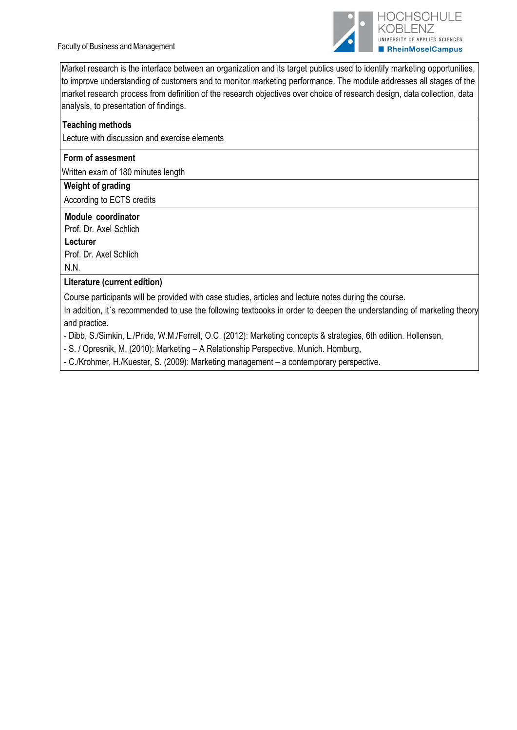Faculty of Business and Management



Market research is the interface between an organization and its target publics used to identify marketing opportunities, to improve understanding of customers and to monitor marketing performance. The module addresses all stages of the market research process from definition of the research objectives over choice of research design, data collection, data analysis, to presentation of findings.

## **Teaching methods**

Lecture with discussion and exercise elements

## **Form of assesment**

Written exam of 180 minutes length

## **Weight of grading**

According to ECTS credits

## **Module coordinator**

Prof. Dr. Axel Schlich

**Lecturer**

Prof. Dr. Axel Schlich N.N.

## **Literature (current edition)**

Course participants will be provided with case studies, articles and lecture notes during the course.

In addition, it's recommended to use the following textbooks in order to deepen the understanding of marketing theory and practice.

- Dibb, S./Simkin, L./Pride, W.M./Ferrell, O.C. (2012): Marketing concepts & strategies, 6th edition. Hollensen,

- S. / Opresnik, M. (2010): Marketing – A Relationship Perspective, Munich. Homburg,

- C./Krohmer, H./Kuester, S. (2009): Marketing management – a contemporary perspective.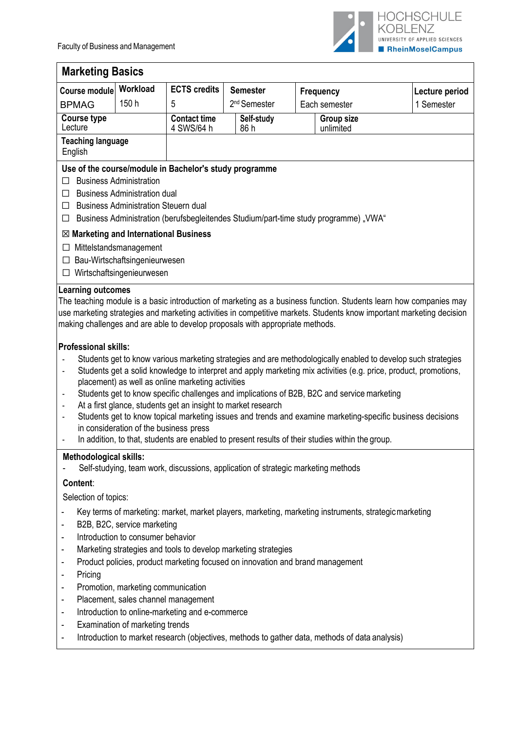

| <b>Marketing Basics</b>                                                                                                                                                                                                                                                                                                                                                                                                                |                                                                           |                                                                                                                                                                                                     |                          |               |                                                                                                                                                                                                 |                                                                                                                                                                                                                                                                                                                                                                                                                                                                                                                                                                                              |  |
|----------------------------------------------------------------------------------------------------------------------------------------------------------------------------------------------------------------------------------------------------------------------------------------------------------------------------------------------------------------------------------------------------------------------------------------|---------------------------------------------------------------------------|-----------------------------------------------------------------------------------------------------------------------------------------------------------------------------------------------------|--------------------------|---------------|-------------------------------------------------------------------------------------------------------------------------------------------------------------------------------------------------|----------------------------------------------------------------------------------------------------------------------------------------------------------------------------------------------------------------------------------------------------------------------------------------------------------------------------------------------------------------------------------------------------------------------------------------------------------------------------------------------------------------------------------------------------------------------------------------------|--|
| Course module                                                                                                                                                                                                                                                                                                                                                                                                                          | Workload                                                                  | <b>ECTS</b> credits                                                                                                                                                                                 | <b>Semester</b>          |               | Frequency                                                                                                                                                                                       | Lecture period                                                                                                                                                                                                                                                                                                                                                                                                                                                                                                                                                                               |  |
| <b>BPMAG</b>                                                                                                                                                                                                                                                                                                                                                                                                                           | 150 h                                                                     | 5                                                                                                                                                                                                   | 2 <sup>nd</sup> Semester | Each semester |                                                                                                                                                                                                 | 1 Semester                                                                                                                                                                                                                                                                                                                                                                                                                                                                                                                                                                                   |  |
| <b>Course type</b><br>Lecture                                                                                                                                                                                                                                                                                                                                                                                                          |                                                                           | <b>Contact time</b>                                                                                                                                                                                 | Self-study               |               | <b>Group size</b>                                                                                                                                                                               |                                                                                                                                                                                                                                                                                                                                                                                                                                                                                                                                                                                              |  |
| <b>Teaching language</b>                                                                                                                                                                                                                                                                                                                                                                                                               |                                                                           | 4 SWS/64 h                                                                                                                                                                                          | 86 h                     |               | unlimited                                                                                                                                                                                       |                                                                                                                                                                                                                                                                                                                                                                                                                                                                                                                                                                                              |  |
| English                                                                                                                                                                                                                                                                                                                                                                                                                                |                                                                           |                                                                                                                                                                                                     |                          |               |                                                                                                                                                                                                 |                                                                                                                                                                                                                                                                                                                                                                                                                                                                                                                                                                                              |  |
| Use of the course/module in Bachelor's study programme<br><b>Business Administration</b><br>$\Box$<br><b>Business Administration dual</b><br>$\Box$<br><b>Business Administration Steuern dual</b><br>$\Box$<br>Business Administration (berufsbegleitendes Studium/part-time study programme) "VWA"<br>□                                                                                                                              |                                                                           |                                                                                                                                                                                                     |                          |               |                                                                                                                                                                                                 |                                                                                                                                                                                                                                                                                                                                                                                                                                                                                                                                                                                              |  |
| $\boxtimes$ Marketing and International Business                                                                                                                                                                                                                                                                                                                                                                                       |                                                                           |                                                                                                                                                                                                     |                          |               |                                                                                                                                                                                                 |                                                                                                                                                                                                                                                                                                                                                                                                                                                                                                                                                                                              |  |
| $\Box$ Mittelstandsmanagement                                                                                                                                                                                                                                                                                                                                                                                                          |                                                                           |                                                                                                                                                                                                     |                          |               |                                                                                                                                                                                                 |                                                                                                                                                                                                                                                                                                                                                                                                                                                                                                                                                                                              |  |
| $\Box$                                                                                                                                                                                                                                                                                                                                                                                                                                 | Bau-Wirtschaftsingenieurwesen                                             |                                                                                                                                                                                                     |                          |               |                                                                                                                                                                                                 |                                                                                                                                                                                                                                                                                                                                                                                                                                                                                                                                                                                              |  |
| □                                                                                                                                                                                                                                                                                                                                                                                                                                      | Wirtschaftsingenieurwesen                                                 |                                                                                                                                                                                                     |                          |               |                                                                                                                                                                                                 |                                                                                                                                                                                                                                                                                                                                                                                                                                                                                                                                                                                              |  |
| <b>Professional skills:</b><br>$\overline{a}$<br>$\qquad \qquad \blacksquare$<br>$\blacksquare$<br>$\overline{a}$<br>$\overline{\phantom{a}}$                                                                                                                                                                                                                                                                                          | in consideration of the business press                                    | making challenges and are able to develop proposals with appropriate methods.<br>placement) as well as online marketing activities<br>At a first glance, students get an insight to market research |                          |               | Students get to know specific challenges and implications of B2B, B2C and service marketing<br>In addition, to that, students are enabled to present results of their studies within the group. | The teaching module is a basic introduction of marketing as a business function. Students learn how companies may<br>use marketing strategies and marketing activities in competitive markets. Students know important marketing decision<br>Students get to know various marketing strategies and are methodologically enabled to develop such strategies<br>Students get a solid knowledge to interpret and apply marketing mix activities (e.g. price, product, promotions,<br>Students get to know topical marketing issues and trends and examine marketing-specific business decisions |  |
| Methodological skills:                                                                                                                                                                                                                                                                                                                                                                                                                 |                                                                           |                                                                                                                                                                                                     |                          |               |                                                                                                                                                                                                 |                                                                                                                                                                                                                                                                                                                                                                                                                                                                                                                                                                                              |  |
|                                                                                                                                                                                                                                                                                                                                                                                                                                        |                                                                           | Self-studying, team work, discussions, application of strategic marketing methods                                                                                                                   |                          |               |                                                                                                                                                                                                 |                                                                                                                                                                                                                                                                                                                                                                                                                                                                                                                                                                                              |  |
| Content:                                                                                                                                                                                                                                                                                                                                                                                                                               |                                                                           |                                                                                                                                                                                                     |                          |               |                                                                                                                                                                                                 |                                                                                                                                                                                                                                                                                                                                                                                                                                                                                                                                                                                              |  |
| Selection of topics:                                                                                                                                                                                                                                                                                                                                                                                                                   |                                                                           |                                                                                                                                                                                                     |                          |               |                                                                                                                                                                                                 |                                                                                                                                                                                                                                                                                                                                                                                                                                                                                                                                                                                              |  |
| Key terms of marketing: market, market players, marketing, marketing instruments, strategic marketing<br>-<br>B2B, B2C, service marketing<br>Introduction to consumer behavior<br>٠<br>Marketing strategies and tools to develop marketing strategies<br>$\overline{\phantom{a}}$<br>Product policies, product marketing focused on innovation and brand management<br>$\overline{\phantom{a}}$<br>Pricing<br>$\overline{\phantom{a}}$ |                                                                           |                                                                                                                                                                                                     |                          |               |                                                                                                                                                                                                 |                                                                                                                                                                                                                                                                                                                                                                                                                                                                                                                                                                                              |  |
| $\overline{\phantom{a}}$                                                                                                                                                                                                                                                                                                                                                                                                               | Promotion, marketing communication<br>Placement, sales channel management |                                                                                                                                                                                                     |                          |               |                                                                                                                                                                                                 |                                                                                                                                                                                                                                                                                                                                                                                                                                                                                                                                                                                              |  |
| $\overline{\phantom{a}}$                                                                                                                                                                                                                                                                                                                                                                                                               |                                                                           |                                                                                                                                                                                                     |                          |               |                                                                                                                                                                                                 |                                                                                                                                                                                                                                                                                                                                                                                                                                                                                                                                                                                              |  |
| $\overline{\phantom{a}}$<br>٠                                                                                                                                                                                                                                                                                                                                                                                                          | Examination of marketing trends                                           | Introduction to online-marketing and e-commerce                                                                                                                                                     |                          |               |                                                                                                                                                                                                 |                                                                                                                                                                                                                                                                                                                                                                                                                                                                                                                                                                                              |  |
| $\blacksquare$                                                                                                                                                                                                                                                                                                                                                                                                                         |                                                                           |                                                                                                                                                                                                     |                          |               | Introduction to market research (objectives, methods to gather data, methods of data analysis)                                                                                                  |                                                                                                                                                                                                                                                                                                                                                                                                                                                                                                                                                                                              |  |
|                                                                                                                                                                                                                                                                                                                                                                                                                                        |                                                                           |                                                                                                                                                                                                     |                          |               |                                                                                                                                                                                                 |                                                                                                                                                                                                                                                                                                                                                                                                                                                                                                                                                                                              |  |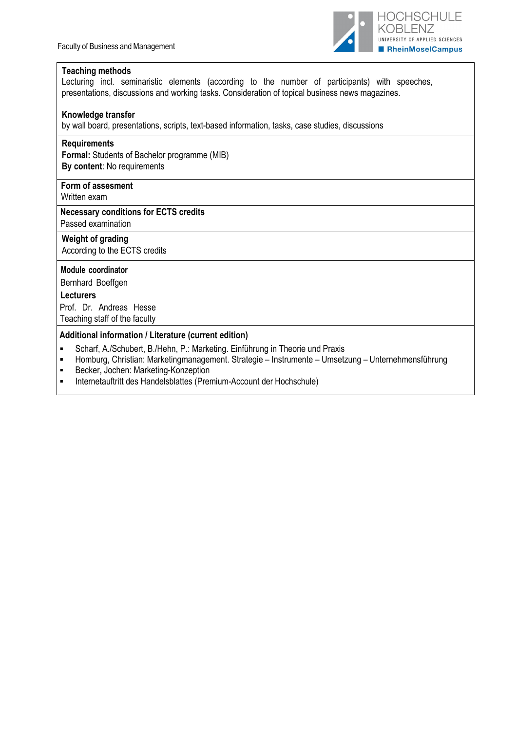

#### **Teaching methods**

Lecturing incl. seminaristic elements (according to the number of participants) with speeches, presentations, discussions and working tasks. Consideration of topical business news magazines.

#### **Knowledge transfer**

by wall board, presentations, scripts, text-based information, tasks, case studies, discussions

#### **Requirements**

**Formal:** Students of Bachelor programme (MIB) **By content**: No requirements

## **Form of assesment**

Written exam

#### **Necessary conditions for ECTS credits** Passed examination

**Weight of grading**

According to the ECTS credits

#### **Module coordinator**

Bernhard Boeffgen

#### **Lecturers**

Prof. Dr. Andreas Hesse Teaching staff of the faculty

#### **Additional information / Literature (current edition)**

- Scharf, A./Schubert, B./Hehn, P.: Marketing. Einführung in Theorie und Praxis<br>
Homburg, Christian: Marketingmanagement, Strategie Instrumente Umsetz
- Homburg, Christian: Marketingmanagement. Strategie Instrumente Umsetzung Unternehmensführung
- **Becker, Jochen: Marketing-Konzeption**
- Internetauftritt des Handelsblattes (Premium-Account der Hochschule)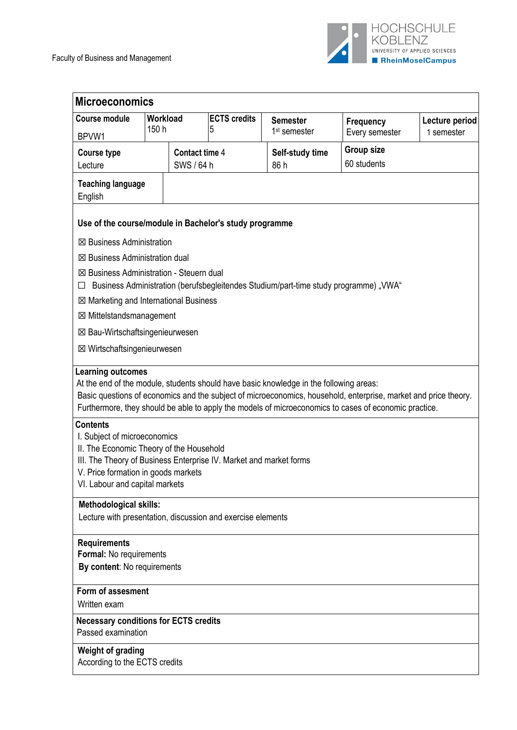

| <b>Microeconomics</b>                                                                                                                                                                                                                      |  |                       |                          |                                                                                      |                                                                                                                                                                                                                          |                |
|--------------------------------------------------------------------------------------------------------------------------------------------------------------------------------------------------------------------------------------------|--|-----------------------|--------------------------|--------------------------------------------------------------------------------------|--------------------------------------------------------------------------------------------------------------------------------------------------------------------------------------------------------------------------|----------------|
| <b>Course module</b><br>150 h                                                                                                                                                                                                              |  | Workload              | <b>ECTS</b> credits<br>5 | <b>Semester</b>                                                                      | Frequency                                                                                                                                                                                                                | Lecture period |
| BPVW1                                                                                                                                                                                                                                      |  |                       |                          | 1 <sup>st</sup> semester                                                             | Every semester                                                                                                                                                                                                           | 1 semester     |
| <b>Course type</b>                                                                                                                                                                                                                         |  | <b>Contact time 4</b> |                          | Self-study time                                                                      | <b>Group size</b>                                                                                                                                                                                                        |                |
| Lecture                                                                                                                                                                                                                                    |  | SWS / 64 h            |                          | 86 h                                                                                 | 60 students                                                                                                                                                                                                              |                |
| <b>Teaching language</b><br>English                                                                                                                                                                                                        |  |                       |                          |                                                                                      |                                                                                                                                                                                                                          |                |
| Use of the course/module in Bachelor's study programme                                                                                                                                                                                     |  |                       |                          |                                                                                      |                                                                                                                                                                                                                          |                |
| ⊠ Business Administration                                                                                                                                                                                                                  |  |                       |                          |                                                                                      |                                                                                                                                                                                                                          |                |
| ⊠ Business Administration dual                                                                                                                                                                                                             |  |                       |                          |                                                                                      |                                                                                                                                                                                                                          |                |
| ⊠ Business Administration - Steuern dual                                                                                                                                                                                                   |  |                       |                          |                                                                                      |                                                                                                                                                                                                                          |                |
| ⊔                                                                                                                                                                                                                                          |  |                       |                          | Business Administration (berufsbegleitendes Studium/part-time study programme) "VWA" |                                                                                                                                                                                                                          |                |
| $\boxtimes$ Marketing and International Business                                                                                                                                                                                           |  |                       |                          |                                                                                      |                                                                                                                                                                                                                          |                |
| ⊠ Mittelstandsmanagement                                                                                                                                                                                                                   |  |                       |                          |                                                                                      |                                                                                                                                                                                                                          |                |
| ⊠ Bau-Wirtschaftsingenieurwesen                                                                                                                                                                                                            |  |                       |                          |                                                                                      |                                                                                                                                                                                                                          |                |
| ⊠ Wirtschaftsingenieurwesen                                                                                                                                                                                                                |  |                       |                          |                                                                                      |                                                                                                                                                                                                                          |                |
| <b>Contents</b><br>I. Subject of microeconomics<br>II. The Economic Theory of the Household<br>III. The Theory of Business Enterprise IV. Market and market forms<br>V. Price formation in goods markets<br>VI. Labour and capital markets |  |                       |                          |                                                                                      | Basic questions of economics and the subject of microeconomics, household, enterprise, market and price theory.<br>Furthermore, they should be able to apply the models of microeconomics to cases of economic practice. |                |
| <b>Methodological skills:</b>                                                                                                                                                                                                              |  |                       |                          |                                                                                      |                                                                                                                                                                                                                          |                |
| Lecture with presentation, discussion and exercise elements                                                                                                                                                                                |  |                       |                          |                                                                                      |                                                                                                                                                                                                                          |                |
| <b>Requirements</b><br>Formal: No requirements<br>By content: No requirements                                                                                                                                                              |  |                       |                          |                                                                                      |                                                                                                                                                                                                                          |                |
| Form of assesment                                                                                                                                                                                                                          |  |                       |                          |                                                                                      |                                                                                                                                                                                                                          |                |
| Written exam                                                                                                                                                                                                                               |  |                       |                          |                                                                                      |                                                                                                                                                                                                                          |                |
| <b>Necessary conditions for ECTS credits</b><br>Passed examination                                                                                                                                                                         |  |                       |                          |                                                                                      |                                                                                                                                                                                                                          |                |
| Weight of grading<br>According to the ECTS credits                                                                                                                                                                                         |  |                       |                          |                                                                                      |                                                                                                                                                                                                                          |                |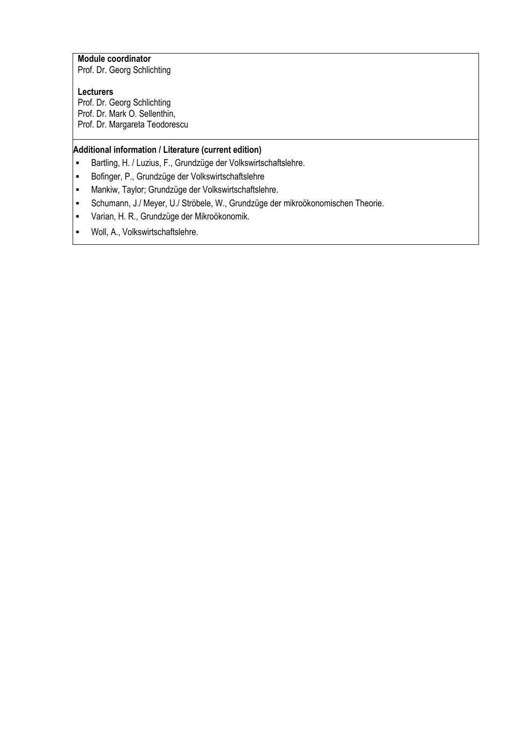# **Module coordinator**

Prof. Dr. Georg Schlichting

# **Lecturers**

Prof. Dr. Georg Schlichting Prof. Dr. Mark O. Sellenthin, Prof. Dr. Margareta Teodorescu

## **Additional information / Literature (current edition)**

- **Bartling, H. / Luzius, F., Grundzüge der Volkswirtschaftslehre.**
- Bofinger, P., Grundzüge der Volkswirtschaftslehre
- Mankiw, Taylor; Grundzüge der Volkswirtschaftslehre.
- Schumann, J./ Meyer, U./ Ströbele, W., Grundzüge der mikroökonomischen Theorie.
- Varian, H. R., Grundzüge der Mikroökonomik.
- Woll, A., Volkswirtschaftslehre.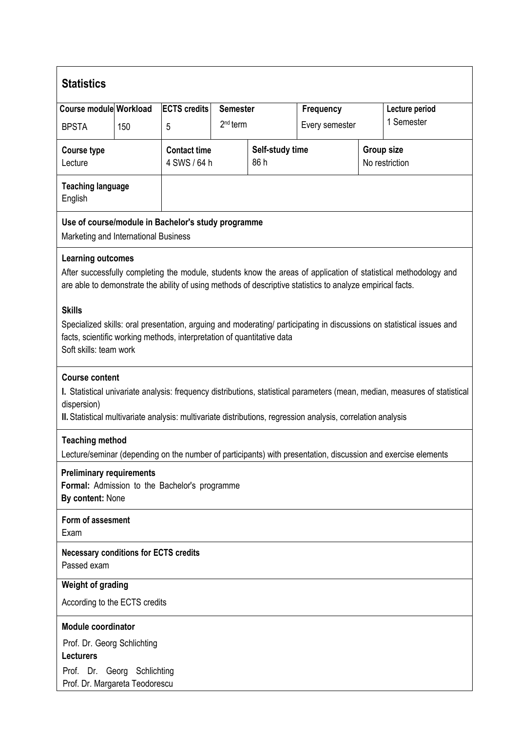| <b>Statistics</b>                                                                                                                                                                                                                          |     |                                                                                                       |                 |  |                                                                                                              |  |                                                                                                                            |  |
|--------------------------------------------------------------------------------------------------------------------------------------------------------------------------------------------------------------------------------------------|-----|-------------------------------------------------------------------------------------------------------|-----------------|--|--------------------------------------------------------------------------------------------------------------|--|----------------------------------------------------------------------------------------------------------------------------|--|
| Course module Workload                                                                                                                                                                                                                     |     | <b>ECTS</b> credits                                                                                   | <b>Semester</b> |  | Frequency                                                                                                    |  | Lecture period                                                                                                             |  |
| <b>BPSTA</b>                                                                                                                                                                                                                               | 150 | 5                                                                                                     | $2nd$ term      |  | 1 Semester<br>Every semester                                                                                 |  |                                                                                                                            |  |
| <b>Course type</b><br>Lecture                                                                                                                                                                                                              |     | <b>Contact time</b><br><b>Group size</b><br>Self-study time<br>4 SWS / 64 h<br>86 h<br>No restriction |                 |  |                                                                                                              |  |                                                                                                                            |  |
| <b>Teaching language</b><br>English                                                                                                                                                                                                        |     |                                                                                                       |                 |  |                                                                                                              |  |                                                                                                                            |  |
| Use of course/module in Bachelor's study programme<br>Marketing and International Business                                                                                                                                                 |     |                                                                                                       |                 |  |                                                                                                              |  |                                                                                                                            |  |
| <b>Learning outcomes</b>                                                                                                                                                                                                                   |     |                                                                                                       |                 |  | are able to demonstrate the ability of using methods of descriptive statistics to analyze empirical facts.   |  | After successfully completing the module, students know the areas of application of statistical methodology and            |  |
| <b>Skills</b><br>Specialized skills: oral presentation, arguing and moderating/ participating in discussions on statistical issues and<br>facts, scientific working methods, interpretation of quantitative data<br>Soft skills: team work |     |                                                                                                       |                 |  |                                                                                                              |  |                                                                                                                            |  |
| <b>Course content</b><br>dispersion)                                                                                                                                                                                                       |     |                                                                                                       |                 |  | II. Statistical multivariate analysis: multivariate distributions, regression analysis, correlation analysis |  | I. Statistical univariate analysis: frequency distributions, statistical parameters (mean, median, measures of statistical |  |
| <b>Teaching method</b>                                                                                                                                                                                                                     |     |                                                                                                       |                 |  |                                                                                                              |  |                                                                                                                            |  |
| Lecture/seminar (depending on the number of participants) with presentation, discussion and exercise elements<br><b>Preliminary requirements</b><br>Formal: Admission to the Bachelor's programme<br>By content: None                      |     |                                                                                                       |                 |  |                                                                                                              |  |                                                                                                                            |  |
| Form of assesment<br>Exam                                                                                                                                                                                                                  |     |                                                                                                       |                 |  |                                                                                                              |  |                                                                                                                            |  |
| <b>Necessary conditions for ECTS credits</b><br>Passed exam                                                                                                                                                                                |     |                                                                                                       |                 |  |                                                                                                              |  |                                                                                                                            |  |
| Weight of grading                                                                                                                                                                                                                          |     |                                                                                                       |                 |  |                                                                                                              |  |                                                                                                                            |  |
| According to the ECTS credits                                                                                                                                                                                                              |     |                                                                                                       |                 |  |                                                                                                              |  |                                                                                                                            |  |
| <b>Module coordinator</b><br>Prof. Dr. Georg Schlichting<br><b>Lecturers</b><br>Prof. Dr. Georg Schlichting<br>Prof. Dr. Margareta Teodorescu                                                                                              |     |                                                                                                       |                 |  |                                                                                                              |  |                                                                                                                            |  |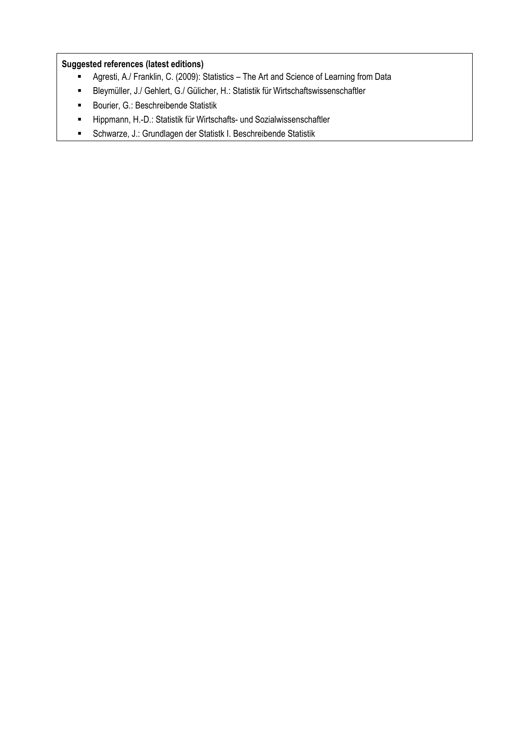## **Suggested references (latest editions)**

- Agresti, A./ Franklin, C. (2009): Statistics The Art and Science of Learning from Data
- Bleymüller, J./ Gehlert, G./ Gülicher, H.: Statistik für Wirtschaftswissenschaftler
- **Bourier, G.: Beschreibende Statistik**
- **Hippmann, H.-D.: Statistik für Wirtschafts- und Sozialwissenschaftler**
- Schwarze, J.: Grundlagen der Statistk I. Beschreibende Statistik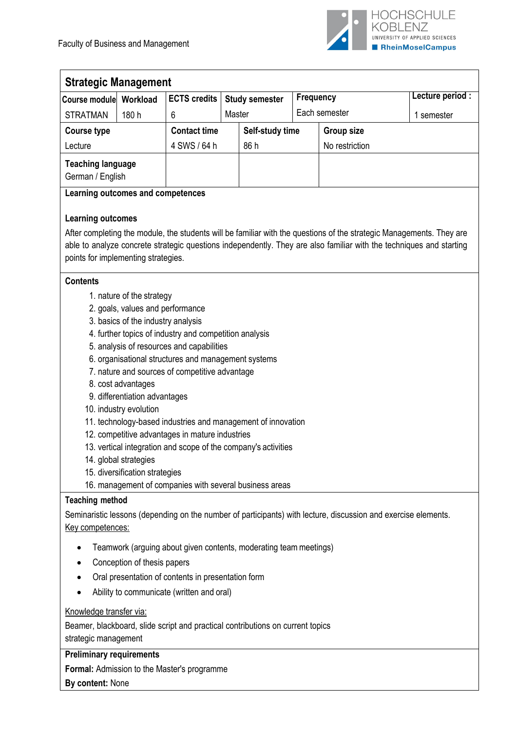

| <b>Strategic Management</b>                  |          |                     |                 |                       |                |                  |                  |  |  |
|----------------------------------------------|----------|---------------------|-----------------|-----------------------|----------------|------------------|------------------|--|--|
| Course module                                | Workload | <b>ECTS credits</b> |                 | <b>Study semester</b> |                | <b>Frequency</b> | Lecture period : |  |  |
| <b>STRATMAN</b>                              | 180 h    | 6                   | Master          |                       | Each semester  |                  | semester         |  |  |
| Course type                                  |          | <b>Contact time</b> | Self-study time |                       | Group size     |                  |                  |  |  |
| Lecture                                      |          | 4 SWS / 64 h        |                 | 86 h                  | No restriction |                  |                  |  |  |
| <b>Teaching language</b><br>German / English |          |                     |                 |                       |                |                  |                  |  |  |

## **Learning outcomes and competences**

## **Learning outcomes**

After completing the module, the students will be familiar with the questions of the strategic Managements. They are able to analyze concrete strategic questions independently. They are also familiar with the techniques and starting points for implementing strategies.

## **Contents**

- 1. nature of the strategy
- 2. goals, values and performance
- 3. basics of the industry analysis
- 4. further topics of industry and competition analysis
- 5. analysis of resources and capabilities
- 6. organisational structures and management systems
- 7. nature and sources of competitive advantage
- 8. cost advantages
- 9. differentiation advantages
- 10. industry evolution
- 11. technology-based industries and management of innovation
- 12. competitive advantages in mature industries
- 13. vertical integration and scope of the company's activities
- 14. global strategies
- 15. diversification strategies
- 16. management of companies with several business areas

#### **Teaching method**

Seminaristic lessons (depending on the number of participants) with lecture, discussion and exercise elements. Key competences:

- Teamwork (arguing about given contents, moderating team meetings)
- Conception of thesis papers
- Oral presentation of contents in presentation form
- Ability to communicate (written and oral)

#### Knowledge transfer via:

Beamer, blackboard, slide script and practical contributions on current topics strategic management

#### **Preliminary requirements**

**Formal:** Admission to the Master's programme

**By content:** None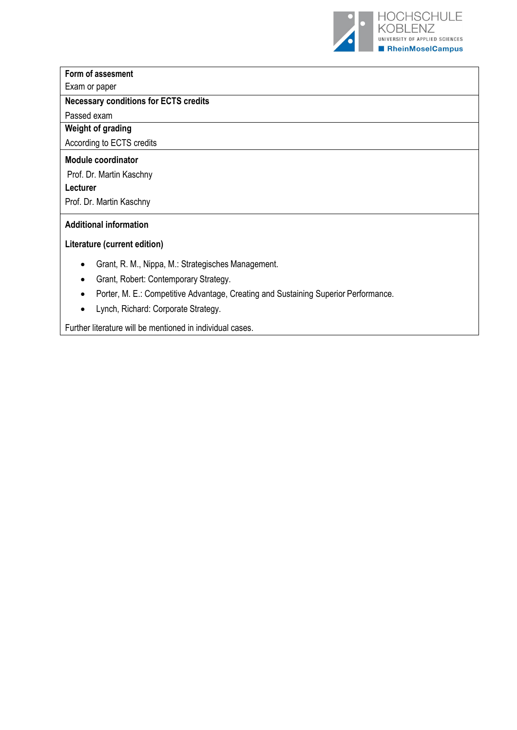

# **Form of assesment**

# Exam or paper

# **Necessary conditions for ECTS credits**

Passed exam

# **Weight of grading**

According to ECTS credits

## **Module coordinator**

Prof. Dr. Martin Kaschny

**Lecturer**

Prof. Dr. Martin Kaschny

## **Additional information**

## **Literature (current edition)**

- Grant, R. M., Nippa, M.: Strategisches Management.
- Grant, Robert: Contemporary Strategy.
- Porter, M. E.: Competitive Advantage, Creating and Sustaining Superior Performance.
- Lynch, Richard: Corporate Strategy.

Further literature will be mentioned in individual cases.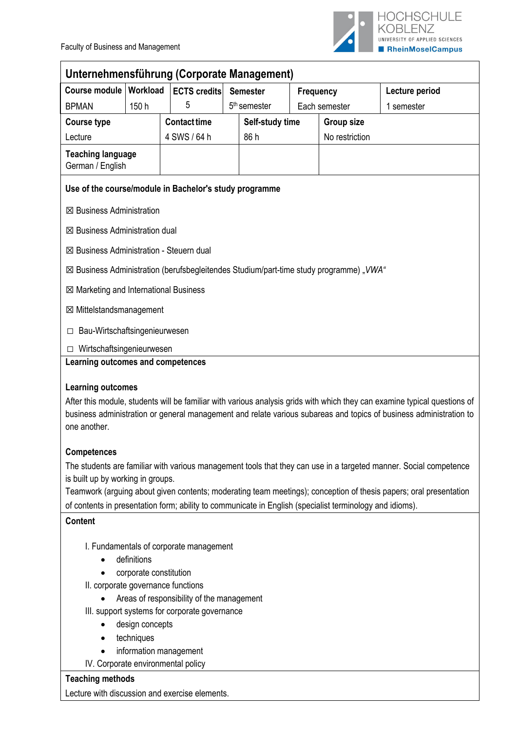

| Unternehmensführung (Corporate Management)                                                               |                                                              |                                               |  |                          |           |                   |                                                                                                                                                                                                                                                 |  |  |
|----------------------------------------------------------------------------------------------------------|--------------------------------------------------------------|-----------------------------------------------|--|--------------------------|-----------|-------------------|-------------------------------------------------------------------------------------------------------------------------------------------------------------------------------------------------------------------------------------------------|--|--|
| Course module   Workload                                                                                 |                                                              | <b>ECTS credits</b>                           |  | <b>Semester</b>          | Frequency |                   | Lecture period                                                                                                                                                                                                                                  |  |  |
| <b>BPMAN</b>                                                                                             | 150 h                                                        | 5                                             |  | 5 <sup>th</sup> semester |           | Each semester     | 1 semester                                                                                                                                                                                                                                      |  |  |
| <b>Course type</b>                                                                                       |                                                              | <b>Contact time</b>                           |  | Self-study time          |           | <b>Group size</b> |                                                                                                                                                                                                                                                 |  |  |
| Lecture                                                                                                  |                                                              | 4 SWS / 64 h                                  |  | 86 h                     |           | No restriction    |                                                                                                                                                                                                                                                 |  |  |
| <b>Teaching language</b><br>German / English                                                             |                                                              |                                               |  |                          |           |                   |                                                                                                                                                                                                                                                 |  |  |
| Use of the course/module in Bachelor's study programme                                                   |                                                              |                                               |  |                          |           |                   |                                                                                                                                                                                                                                                 |  |  |
| ⊠ Business Administration                                                                                |                                                              |                                               |  |                          |           |                   |                                                                                                                                                                                                                                                 |  |  |
| $\boxtimes$ Business Administration dual                                                                 |                                                              |                                               |  |                          |           |                   |                                                                                                                                                                                                                                                 |  |  |
| $\boxtimes$ Business Administration - Steuern dual                                                       |                                                              |                                               |  |                          |           |                   |                                                                                                                                                                                                                                                 |  |  |
| ⊠ Business Administration (berufsbegleitendes Studium/part-time study programme) "VWA"                   |                                                              |                                               |  |                          |           |                   |                                                                                                                                                                                                                                                 |  |  |
| ⊠ Marketing and International Business                                                                   |                                                              |                                               |  |                          |           |                   |                                                                                                                                                                                                                                                 |  |  |
| ⊠ Mittelstandsmanagement                                                                                 |                                                              |                                               |  |                          |           |                   |                                                                                                                                                                                                                                                 |  |  |
| Bau-Wirtschaftsingenieurwesen<br>□                                                                       |                                                              |                                               |  |                          |           |                   |                                                                                                                                                                                                                                                 |  |  |
| Wirtschaftsingenieurwesen<br>П.                                                                          |                                                              |                                               |  |                          |           |                   |                                                                                                                                                                                                                                                 |  |  |
| <b>Learning outcomes</b><br>one another.                                                                 |                                                              |                                               |  |                          |           |                   | After this module, students will be familiar with various analysis grids with which they can examine typical questions of<br>business administration or general management and relate various subareas and topics of business administration to |  |  |
| <b>Competences</b>                                                                                       |                                                              |                                               |  |                          |           |                   |                                                                                                                                                                                                                                                 |  |  |
|                                                                                                          |                                                              |                                               |  |                          |           |                   | The students are familiar with various management tools that they can use in a targeted manner. Social competence                                                                                                                               |  |  |
| is built up by working in groups.                                                                        |                                                              |                                               |  |                          |           |                   | Teamwork (arguing about given contents; moderating team meetings); conception of thesis papers; oral presentation                                                                                                                               |  |  |
| of contents in presentation form; ability to communicate in English (specialist terminology and idioms). |                                                              |                                               |  |                          |           |                   |                                                                                                                                                                                                                                                 |  |  |
| <b>Content</b>                                                                                           |                                                              |                                               |  |                          |           |                   |                                                                                                                                                                                                                                                 |  |  |
|                                                                                                          |                                                              | I. Fundamentals of corporate management       |  |                          |           |                   |                                                                                                                                                                                                                                                 |  |  |
|                                                                                                          | definitions                                                  |                                               |  |                          |           |                   |                                                                                                                                                                                                                                                 |  |  |
|                                                                                                          | corporate constitution<br>II. corporate governance functions |                                               |  |                          |           |                   |                                                                                                                                                                                                                                                 |  |  |
|                                                                                                          |                                                              | Areas of responsibility of the management     |  |                          |           |                   |                                                                                                                                                                                                                                                 |  |  |
|                                                                                                          |                                                              | III. support systems for corporate governance |  |                          |           |                   |                                                                                                                                                                                                                                                 |  |  |
|                                                                                                          | design concepts                                              |                                               |  |                          |           |                   |                                                                                                                                                                                                                                                 |  |  |
| ٠                                                                                                        | techniques                                                   |                                               |  |                          |           |                   |                                                                                                                                                                                                                                                 |  |  |
|                                                                                                          | information management                                       |                                               |  |                          |           |                   |                                                                                                                                                                                                                                                 |  |  |
|                                                                                                          | IV. Corporate environmental policy                           |                                               |  |                          |           |                   |                                                                                                                                                                                                                                                 |  |  |
| <b>Teaching methods</b>                                                                                  |                                                              |                                               |  |                          |           |                   |                                                                                                                                                                                                                                                 |  |  |
| Lecture with discussion and exercise elements.                                                           |                                                              |                                               |  |                          |           |                   |                                                                                                                                                                                                                                                 |  |  |